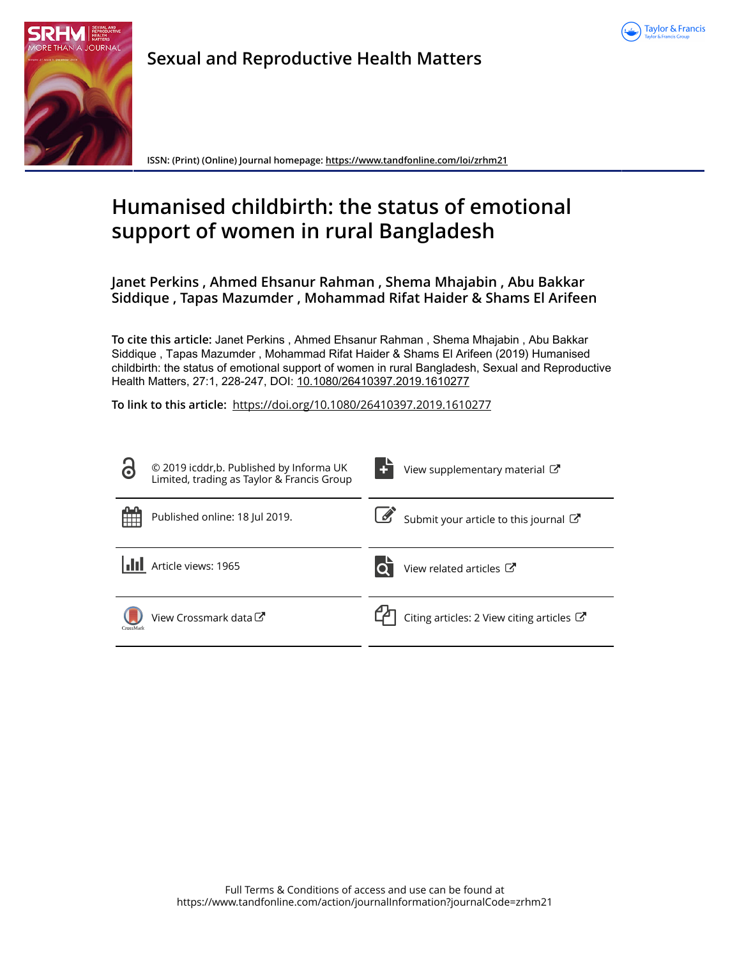



**Sexual and Reproductive Health Matters**

**ISSN: (Print) (Online) Journal homepage:<https://www.tandfonline.com/loi/zrhm21>**

# **Humanised childbirth: the status of emotional support of women in rural Bangladesh**

**Janet Perkins , Ahmed Ehsanur Rahman , Shema Mhajabin , Abu Bakkar Siddique , Tapas Mazumder , Mohammad Rifat Haider & Shams El Arifeen**

**To cite this article:** Janet Perkins , Ahmed Ehsanur Rahman , Shema Mhajabin , Abu Bakkar Siddique , Tapas Mazumder , Mohammad Rifat Haider & Shams El Arifeen (2019) Humanised childbirth: the status of emotional support of women in rural Bangladesh, Sexual and Reproductive Health Matters, 27:1, 228-247, DOI: [10.1080/26410397.2019.1610277](https://www.tandfonline.com/action/showCitFormats?doi=10.1080/26410397.2019.1610277)

**To link to this article:** <https://doi.org/10.1080/26410397.2019.1610277>

| $\bullet$ | © 2019 icddr, b. Published by Informa UK<br>Limited, trading as Taylor & Francis Group | View supplementary material $\mathbb{Z}$             |
|-----------|----------------------------------------------------------------------------------------|------------------------------------------------------|
|           | Published online: 18 Jul 2019.                                                         | Submit your article to this journal                  |
|           | Article views: 1965                                                                    | View related articles C                              |
| CrossMark | View Crossmark data C                                                                  | Citing articles: 2 View citing articles $\mathbb{Z}$ |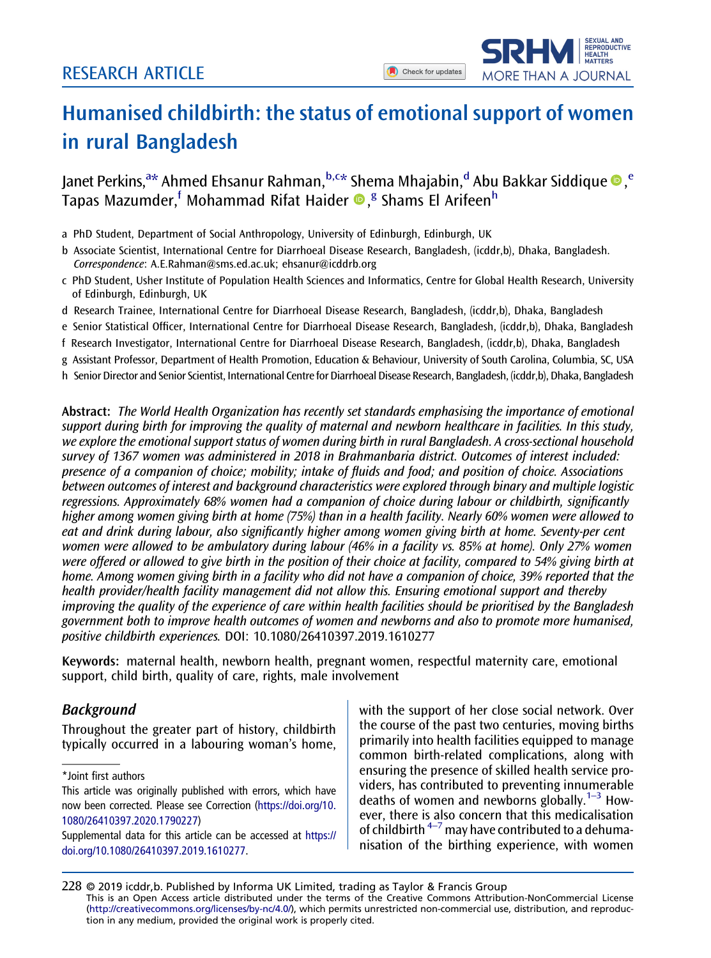**SEXUAL AND** SEXUAL AND<br>REPRODUCTIVE<br>HEALTH<br>MATTERS

MORE THAN A JOURNAL

## <span id="page-1-0"></span>Humanised childbirth: the status of emotional support of women in rural Bangladesh

Janet Perkins,<sup>a\*</sup> Ahmed Ehsanur Rahman,<sup>b,c\*</sup> Shema Mhajabin,<sup>d</sup> Abu Bakkar Siddique ®,<sup>e</sup> Tapas Mazumder, <sup>f</sup> Mohammad Rifat Haider ®, <sup>g</sup> Shams El Arifeen<sup>h</sup>

a PhD Student, Department of Social Anthropology, University of Edinburgh, Edinburgh, UK

- b Associate Scientist, International Centre for Diarrhoeal Disease Research, Bangladesh, (icddr,b), Dhaka, Bangladesh. Correspondence: [A.E.Rahman@sms.ed.ac.uk;](mailto:A.E.Rahman@sms.ed.ac.uk) [ehsanur@icddrb.org](mailto:ehsanur@icddrb.org)
- c PhD Student, Usher Institute of Population Health Sciences and Informatics, Centre for Global Health Research, University of Edinburgh, Edinburgh, UK
- d Research Trainee, International Centre for Diarrhoeal Disease Research, Bangladesh, (icddr,b), Dhaka, Bangladesh
- e Senior Statistical Officer, International Centre for Diarrhoeal Disease Research, Bangladesh, (icddr,b), Dhaka, Bangladesh
- f Research Investigator, International Centre for Diarrhoeal Disease Research, Bangladesh, (icddr,b), Dhaka, Bangladesh
- g Assistant Professor, Department of Health Promotion, Education & Behaviour, University of South Carolina, Columbia, SC, USA
- h Senior Director and Senior Scientist, International Centre for Diarrhoeal Disease Research, Bangladesh, (icddr,b), Dhaka, Bangladesh

Abstract: The World Health Organization has recently set standards emphasising the importance of emotional support during birth for improving the quality of maternal and newborn healthcare in facilities. In this study, we explore the emotional support status of women during birth in rural Bangladesh. A cross-sectional household survey of 1367 women was administered in 2018 in Brahmanbaria district. Outcomes of interest included: presence of a companion of choice; mobility; intake of fluids and food; and position of choice. Associations between outcomes of interest and background characteristics were explored through binary and multiple logistic regressions. Approximately 68% women had a companion of choice during labour or childbirth, significantly higher among women giving birth at home (75%) than in a health facility. Nearly 60% women were allowed to eat and drink during labour, also significantly higher among women giving birth at home. Seventy-per cent women were allowed to be ambulatory during labour (46% in a facility vs. 85% at home). Only 27% women were offered or allowed to give birth in the position of their choice at facility, compared to 54% giving birth at home. Among women giving birth in a facility who did not have a companion of choice, 39% reported that the health provider/health facility management did not allow this. Ensuring emotional support and thereby improving the quality of the experience of care within health facilities should be prioritised by the Bangladesh government both to improve health outcomes of women and newborns and also to promote more humanised, positive childbirth experiences. DOI: 10.1080/26410397.2019.1610277

Keywords: maternal health, newborn health, pregnant women, respectful maternity care, emotional support, child birth, quality of care, rights, male involvement

## Background

Throughout the greater part of history, childbirth typically occurred in a labouring woman's home,

\*Joint first authors

with the support of her close social network. Over the course of the past two centuries, moving births primarily into health facilities equipped to manage common birth-related complications, along with ensuring the presence of skilled health service providers, has contributed to preventing innumerable deaths of women and newborns globally.<sup>1-3</sup> However, there is also concern that this medicalisation of childbirth  $4-7$  may have contributed to a dehumanisation of the birthing experience, with women

228 © 2019 icddr,b. Published by Informa UK Limited, trading as Taylor & Francis Group This is an Open Access article distributed under the terms of the Creative Commons Attribution-NonCommercial License (<http://creativecommons.org/licenses/by-nc/4.0/>), which permits unrestricted non-commercial use, distribution, and reproduction in any medium, provided the original work is properly cited.

This article was originally published with errors, which have now been corrected. Please see Correction [\(https://doi.org/10.](https://doi.org/10.1080/26410397.2020.1790227) [1080/26410397.2020.1790227](https://doi.org/10.1080/26410397.2020.1790227))

Supplemental data for this article can be accessed at [https://](https://doi.org/10.1080/26410397.2019.1610277) [doi.org/10.1080/26410397.2019.1610277](https://doi.org/10.1080/26410397.2019.1610277).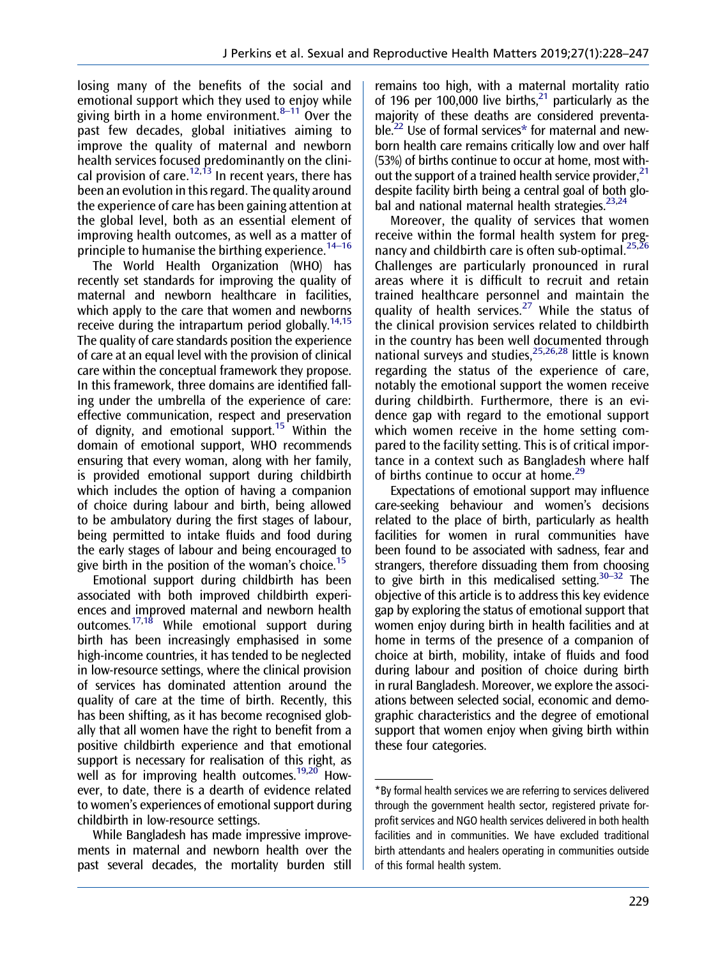<span id="page-2-0"></span>losing many of the benefits of the social and emotional support which they used to enjoy while giving birth in a home environment. $8-11$  Over the past few decades, global initiatives aiming to improve the quality of maternal and newborn health services focused predominantly on the clini-cal provision of care.<sup>[12,13](#page-18-0)</sup> In recent years, there has been an evolution in this regard. The quality around the experience of care has been gaining attention at the global level, both as an essential element of improving health outcomes, as well as a matter of principle to humanise the birthing experience.<sup>14–16</sup>

The World Health Organization (WHO) has recently set standards for improving the quality of maternal and newborn healthcare in facilities, which apply to the care that women and newborns receive during the intrapartum period globally.<sup>14,15</sup> The quality of care standards position the experience of care at an equal level with the provision of clinical care within the conceptual framework they propose. In this framework, three domains are identified falling under the umbrella of the experience of care: effective communication, respect and preservation of dignity, and emotional support.<sup>[15](#page-18-0)</sup> Within the domain of emotional support, WHO recommends ensuring that every woman, along with her family, is provided emotional support during childbirth which includes the option of having a companion of choice during labour and birth, being allowed to be ambulatory during the first stages of labour, being permitted to intake fluids and food during the early stages of labour and being encouraged to give birth in the position of the woman's choice.<sup>[15](#page-18-0)</sup>

Emotional support during childbirth has been associated with both improved childbirth experiences and improved maternal and newborn health outcomes. $17,18$  While emotional support during birth has been increasingly emphasised in some high-income countries, it has tended to be neglected in low-resource settings, where the clinical provision of services has dominated attention around the quality of care at the time of birth. Recently, this has been shifting, as it has become recognised globally that all women have the right to benefit from a positive childbirth experience and that emotional support is necessary for realisation of this right, as well as for improving health outcomes.<sup>19,20</sup> However, to date, there is a dearth of evidence related to women's experiences of emotional support during childbirth in low-resource settings.

While Bangladesh has made impressive improvements in maternal and newborn health over the past several decades, the mortality burden still remains too high, with a maternal mortality ratio of 196 per 100,000 live births.<sup>21</sup> particularly as the majority of these deaths are considered preventable[.22](#page-18-0) Use of formal services\* for maternal and newborn health care remains critically low and over half (53%) of births continue to occur at home, most without the support of a trained health service provider.  $21$ despite facility birth being a central goal of both global and national maternal health strategies. $23,24$ 

Moreover, the quality of services that women receive within the formal health system for preg-nancy and childbirth care is often sub-optimal.<sup>[25,26](#page-18-0)</sup> Challenges are particularly pronounced in rural areas where it is difficult to recruit and retain trained healthcare personnel and maintain the quality of health services.<sup>[27](#page-18-0)</sup> While the status of the clinical provision services related to childbirth in the country has been well documented through national surveys and studies,  $25,26,28$  little is known regarding the status of the experience of care, notably the emotional support the women receive during childbirth. Furthermore, there is an evidence gap with regard to the emotional support which women receive in the home setting compared to the facility setting. This is of critical importance in a context such as Bangladesh where half of births continue to occur at home.<sup>[29](#page-18-0)</sup>

Expectations of emotional support may influence care-seeking behaviour and women's decisions related to the place of birth, particularly as health facilities for women in rural communities have been found to be associated with sadness, fear and strangers, therefore dissuading them from choosing to give birth in this medicalised setting. $30-32$  The objective of this article is to address this key evidence gap by exploring the status of emotional support that women enjoy during birth in health facilities and at home in terms of the presence of a companion of choice at birth, mobility, intake of fluids and food during labour and position of choice during birth in rural Bangladesh. Moreover, we explore the associations between selected social, economic and demographic characteristics and the degree of emotional support that women enjoy when giving birth within these four categories.

<sup>\*</sup>By formal health services we are referring to services delivered through the government health sector, registered private forprofit services and NGO health services delivered in both health facilities and in communities. We have excluded traditional birth attendants and healers operating in communities outside of this formal health system.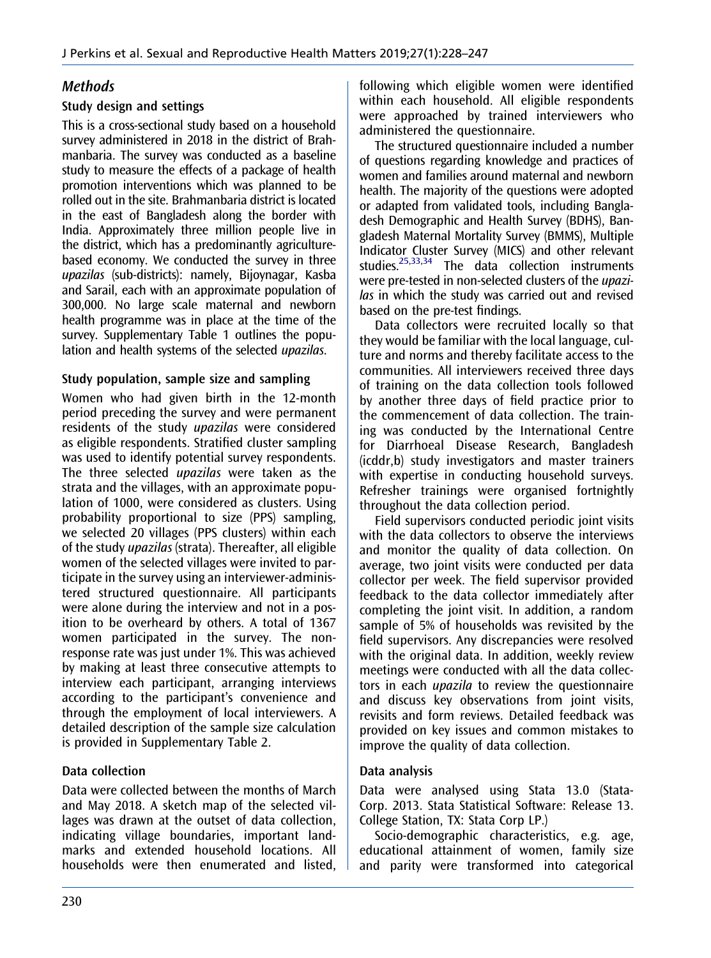## <span id="page-3-0"></span>**Methods**

## Study design and settings

This is a cross-sectional study based on a household survey administered in 2018 in the district of Brahmanbaria. The survey was conducted as a baseline study to measure the effects of a package of health promotion interventions which was planned to be rolled out in the site. Brahmanbaria district is located in the east of Bangladesh along the border with India. Approximately three million people live in the district, which has a predominantly agriculturebased economy. We conducted the survey in three upazilas (sub-districts): namely, Bijoynagar, Kasba and Sarail, each with an approximate population of 300,000. No large scale maternal and newborn health programme was in place at the time of the survey. Supplementary Table 1 outlines the population and health systems of the selected upazilas.

## Study population, sample size and sampling

Women who had given birth in the 12-month period preceding the survey and were permanent residents of the study *upazilas* were considered as eligible respondents. Stratified cluster sampling was used to identify potential survey respondents. The three selected *upazilas* were taken as the strata and the villages, with an approximate population of 1000, were considered as clusters. Using probability proportional to size (PPS) sampling, we selected 20 villages (PPS clusters) within each of the study upazilas (strata). Thereafter, all eligible women of the selected villages were invited to participate in the survey using an interviewer-administered structured questionnaire. All participants were alone during the interview and not in a position to be overheard by others. A total of 1367 women participated in the survey. The nonresponse rate was just under 1%. This was achieved by making at least three consecutive attempts to interview each participant, arranging interviews according to the participant's convenience and through the employment of local interviewers. A detailed description of the sample size calculation is provided in Supplementary Table 2.

## Data collection

Data were collected between the months of March and May 2018. A sketch map of the selected villages was drawn at the outset of data collection, indicating village boundaries, important landmarks and extended household locations. All households were then enumerated and listed, following which eligible women were identified within each household. All eligible respondents were approached by trained interviewers who administered the questionnaire.

The structured questionnaire included a number of questions regarding knowledge and practices of women and families around maternal and newborn health. The majority of the questions were adopted or adapted from validated tools, including Bangladesh Demographic and Health Survey (BDHS), Bangladesh Maternal Mortality Survey (BMMS), Multiple Indicator Cluster Survey (MICS) and other relevant studies.<sup>[25,33,34](#page-18-0)</sup> The data collection instruments were pre-tested in non-selected clusters of the upazilas in which the study was carried out and revised based on the pre-test findings.

Data collectors were recruited locally so that they would be familiar with the local language, culture and norms and thereby facilitate access to the communities. All interviewers received three days of training on the data collection tools followed by another three days of field practice prior to the commencement of data collection. The training was conducted by the International Centre for Diarrhoeal Disease Research, Bangladesh (icddr,b) study investigators and master trainers with expertise in conducting household surveys. Refresher trainings were organised fortnightly throughout the data collection period.

Field supervisors conducted periodic joint visits with the data collectors to observe the interviews and monitor the quality of data collection. On average, two joint visits were conducted per data collector per week. The field supervisor provided feedback to the data collector immediately after completing the joint visit. In addition, a random sample of 5% of households was revisited by the field supervisors. Any discrepancies were resolved with the original data. In addition, weekly review meetings were conducted with all the data collectors in each upazila to review the questionnaire and discuss key observations from joint visits, revisits and form reviews. Detailed feedback was provided on key issues and common mistakes to improve the quality of data collection.

## Data analysis

Data were analysed using Stata 13.0 (Stata-Corp. 2013. Stata Statistical Software: Release 13. College Station, TX: Stata Corp LP.)

Socio-demographic characteristics, e.g. age, educational attainment of women, family size and parity were transformed into categorical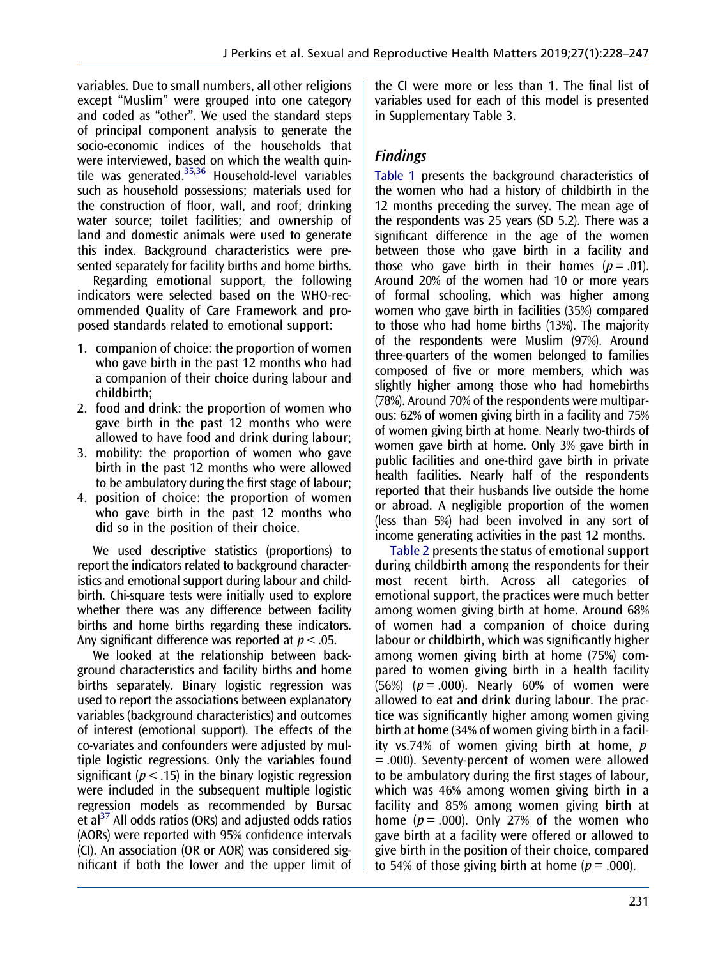<span id="page-4-0"></span>variables. Due to small numbers, all other religions except "Muslim" were grouped into one category and coded as "other". We used the standard steps of principal component analysis to generate the socio-economic indices of the households that were interviewed, based on which the wealth quintile was generated[.35](#page-18-0),[36](#page-18-0) Household-level variables such as household possessions; materials used for the construction of floor, wall, and roof; drinking water source; toilet facilities; and ownership of land and domestic animals were used to generate this index. Background characteristics were presented separately for facility births and home births.

Regarding emotional support, the following indicators were selected based on the WHO-recommended Quality of Care Framework and proposed standards related to emotional support:

- 1. companion of choice: the proportion of women who gave birth in the past 12 months who had a companion of their choice during labour and childbirth;
- 2. food and drink: the proportion of women who gave birth in the past 12 months who were allowed to have food and drink during labour;
- 3. mobility: the proportion of women who gave birth in the past 12 months who were allowed to be ambulatory during the first stage of labour;
- 4. position of choice: the proportion of women who gave birth in the past 12 months who did so in the position of their choice.

We used descriptive statistics (proportions) to report the indicators related to background characteristics and emotional support during labour and childbirth. Chi-square tests were initially used to explore whether there was any difference between facility births and home births regarding these indicators. Any significant difference was reported at  $p < .05$ .

We looked at the relationship between background characteristics and facility births and home births separately. Binary logistic regression was used to report the associations between explanatory variables (background characteristics) and outcomes of interest (emotional support). The effects of the co-variates and confounders were adjusted by multiple logistic regressions. Only the variables found significant ( $p < .15$ ) in the binary logistic regression were included in the subsequent multiple logistic regression models as recommended by Bursac et al $^{37}$  $^{37}$  $^{37}$  All odds ratios (ORs) and adjusted odds ratios (AORs) were reported with 95% confidence intervals (CI). An association (OR or AOR) was considered significant if both the lower and the upper limit of the CI were more or less than 1. The final list of variables used for each of this model is presented in Supplementary Table 3.

## Findings

[Table 1](#page-5-0) presents the background characteristics of the women who had a history of childbirth in the 12 months preceding the survey. The mean age of the respondents was 25 years (SD 5.2). There was a significant difference in the age of the women between those who gave birth in a facility and those who gave birth in their homes  $(p=.01)$ . Around 20% of the women had 10 or more years of formal schooling, which was higher among women who gave birth in facilities (35%) compared to those who had home births (13%). The majority of the respondents were Muslim (97%). Around three-quarters of the women belonged to families composed of five or more members, which was slightly higher among those who had homebirths (78%). Around 70% of the respondents were multiparous: 62% of women giving birth in a facility and 75% of women giving birth at home. Nearly two-thirds of women gave birth at home. Only 3% gave birth in public facilities and one-third gave birth in private health facilities. Nearly half of the respondents reported that their husbands live outside the home or abroad. A negligible proportion of the women (less than 5%) had been involved in any sort of income generating activities in the past 12 months.

[Table 2](#page-6-0) presents the status of emotional support during childbirth among the respondents for their most recent birth. Across all categories of emotional support, the practices were much better among women giving birth at home. Around 68% of women had a companion of choice during labour or childbirth, which was significantly higher among women giving birth at home (75%) compared to women giving birth in a health facility (56%) ( $p = .000$ ). Nearly 60% of women were allowed to eat and drink during labour. The practice was significantly higher among women giving birth at home (34% of women giving birth in a facility vs.74% of women giving birth at home,  $p$ = .000). Seventy-percent of women were allowed to be ambulatory during the first stages of labour, which was 46% among women giving birth in a facility and 85% among women giving birth at home ( $p = .000$ ). Only 27% of the women who gave birth at a facility were offered or allowed to give birth in the position of their choice, compared to 54% of those giving birth at home ( $p = .000$ ).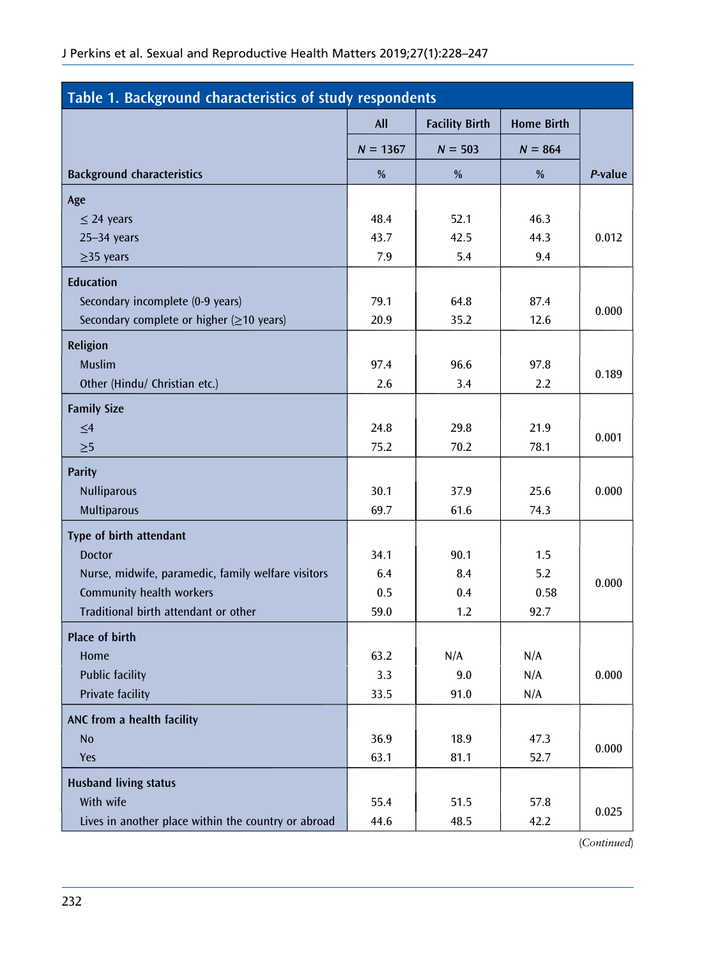<span id="page-5-0"></span>

| Table 1. Background characteristics of study respondents |            |                       |                   |         |  |  |  |  |  |
|----------------------------------------------------------|------------|-----------------------|-------------------|---------|--|--|--|--|--|
|                                                          | <b>All</b> | <b>Facility Birth</b> | <b>Home Birth</b> |         |  |  |  |  |  |
|                                                          | $N = 1367$ | $N = 503$             | $N = 864$         |         |  |  |  |  |  |
| <b>Background characteristics</b>                        | %          | %                     | %                 | P-value |  |  |  |  |  |
| Age                                                      |            |                       |                   |         |  |  |  |  |  |
| $\leq$ 24 years                                          | 48.4       | 52.1                  | 46.3              |         |  |  |  |  |  |
| $25 - 34$ years                                          | 43.7       | 42.5                  | 44.3              | 0.012   |  |  |  |  |  |
| $\geq$ 35 years                                          | 7.9        | 5.4                   | 9.4               |         |  |  |  |  |  |
| <b>Education</b>                                         |            |                       |                   |         |  |  |  |  |  |
| Secondary incomplete (0-9 years)                         | 79.1       | 64.8                  | 87.4              |         |  |  |  |  |  |
| Secondary complete or higher $(\geq 10$ years)           | 20.9       | 35.2                  | 12.6              | 0.000   |  |  |  |  |  |
| <b>Religion</b>                                          |            |                       |                   |         |  |  |  |  |  |
| <b>Muslim</b>                                            | 97.4       | 96.6                  | 97.8              |         |  |  |  |  |  |
| Other (Hindu/ Christian etc.)                            | 2.6        | 3.4                   | $2.2\phantom{0}$  | 0.189   |  |  |  |  |  |
| <b>Family Size</b>                                       |            |                       |                   |         |  |  |  |  |  |
| $\leq 4$                                                 | 24.8       | 29.8                  | 21.9              |         |  |  |  |  |  |
| $\geq 5$                                                 | 75.2       | 70.2                  | 78.1              | 0.001   |  |  |  |  |  |
| <b>Parity</b>                                            |            |                       |                   |         |  |  |  |  |  |
| <b>Nulliparous</b>                                       | 30.1       | 37.9                  | 25.6              | 0.000   |  |  |  |  |  |
| Multiparous                                              | 69.7       | 61.6                  | 74.3              |         |  |  |  |  |  |
| Type of birth attendant                                  |            |                       |                   |         |  |  |  |  |  |
| <b>Doctor</b>                                            | 34.1       | 90.1                  | 1.5               |         |  |  |  |  |  |
| Nurse, midwife, paramedic, family welfare visitors       | 6.4        | 8.4                   | 5.2               | 0.000   |  |  |  |  |  |
| Community health workers                                 | 0.5        | 0.4                   | 0.58              |         |  |  |  |  |  |
| Traditional birth attendant or other                     | 59.0       | 1.2                   | 92.7              |         |  |  |  |  |  |
| Place of birth                                           |            |                       |                   |         |  |  |  |  |  |
| Home                                                     | 63.2       | N/A                   | N/A               |         |  |  |  |  |  |
| <b>Public facility</b>                                   | 3.3        | 9.0                   | N/A               | 0.000   |  |  |  |  |  |
| Private facility                                         | 33.5       | 91.0                  | N/A               |         |  |  |  |  |  |
| ANC from a health facility                               |            |                       |                   |         |  |  |  |  |  |
| <b>No</b>                                                | 36.9       | 18.9                  | 47.3              |         |  |  |  |  |  |
| Yes                                                      | 63.1       | 81.1                  | 52.7              | 0.000   |  |  |  |  |  |
| <b>Husband living status</b>                             |            |                       |                   |         |  |  |  |  |  |
| With wife                                                | 55.4       | 51.5                  | 57.8              |         |  |  |  |  |  |
| Lives in another place within the country or abroad      | 44.6       | 48.5                  | 42.2              | 0.025   |  |  |  |  |  |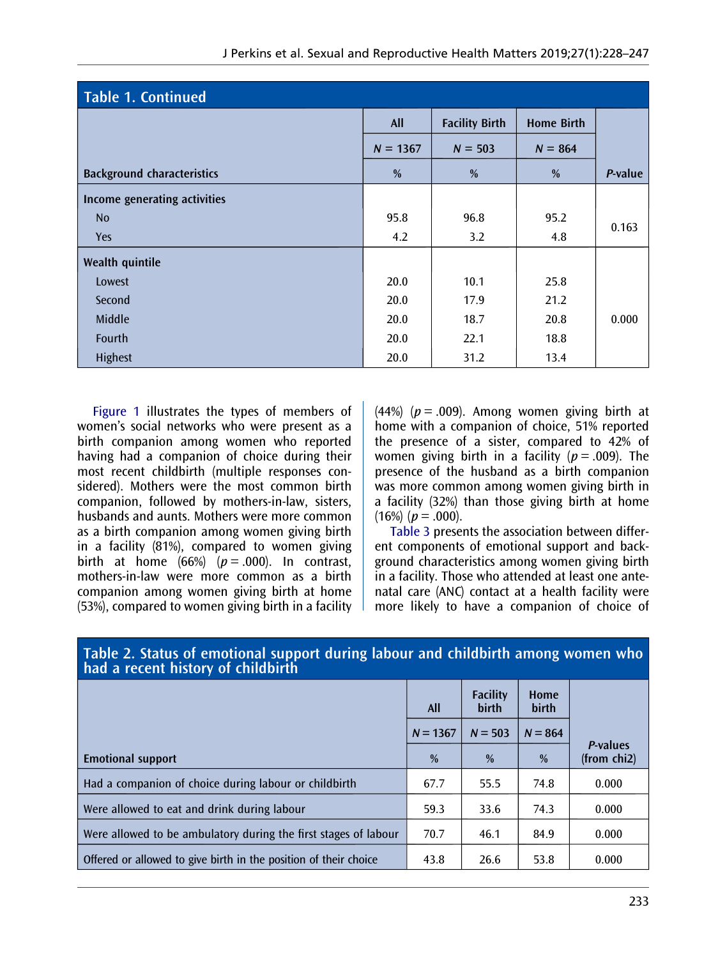<span id="page-6-0"></span>

| <b>Table 1. Continued</b>         |            |                       |                   |         |  |  |  |  |  |
|-----------------------------------|------------|-----------------------|-------------------|---------|--|--|--|--|--|
|                                   | <b>All</b> | <b>Facility Birth</b> | <b>Home Birth</b> |         |  |  |  |  |  |
|                                   | $N = 1367$ | $N = 503$             | $N = 864$         |         |  |  |  |  |  |
| <b>Background characteristics</b> | %          | %                     | %                 | P-value |  |  |  |  |  |
| Income generating activities      |            |                       |                   |         |  |  |  |  |  |
| N <sub>o</sub>                    | 95.8       | 96.8                  | 95.2              |         |  |  |  |  |  |
| <b>Yes</b>                        | 4.2        | 3.2                   | 4.8               | 0.163   |  |  |  |  |  |
| Wealth quintile                   |            |                       |                   |         |  |  |  |  |  |
| Lowest                            | 20.0       | 10.1                  | 25.8              |         |  |  |  |  |  |
| Second                            | 20.0       | 17.9                  | 21.2              |         |  |  |  |  |  |
| Middle                            | 20.0       | 18.7                  | 20.8              | 0.000   |  |  |  |  |  |
| Fourth                            | 20.0       | 22.1                  | 18.8              |         |  |  |  |  |  |
| Highest                           | 20.0       | 31.2                  | 13.4              |         |  |  |  |  |  |

[Figure 1](#page-7-0) illustrates the types of members of women's social networks who were present as a birth companion among women who reported having had a companion of choice during their most recent childbirth (multiple responses considered). Mothers were the most common birth companion, followed by mothers-in-law, sisters, husbands and aunts. Mothers were more common as a birth companion among women giving birth in a facility (81%), compared to women giving birth at home  $(66%)$   $(p = .000)$ . In contrast, mothers-in-law were more common as a birth companion among women giving birth at home (53%), compared to women giving birth in a facility

(44%) ( $p = .009$ ). Among women giving birth at home with a companion of choice, 51% reported the presence of a sister, compared to 42% of women giving birth in a facility ( $p = .009$ ). The presence of the husband as a birth companion was more common among women giving birth in a facility (32%) than those giving birth at home  $(16\%)$  ( $p = .000$ ).

[Table 3](#page-8-0) presents the association between different components of emotional support and background characteristics among women giving birth in a facility. Those who attended at least one antenatal care (ANC) contact at a health facility were more likely to have a companion of choice of

| Table 2. Status of Chrotional Support Guiling labour and Childbirth among women who<br>had a recent history of childbirth |            |                          |                      |                         |  |  |  |  |  |
|---------------------------------------------------------------------------------------------------------------------------|------------|--------------------------|----------------------|-------------------------|--|--|--|--|--|
|                                                                                                                           | All        | <b>Facility</b><br>birth | Home<br><b>birth</b> |                         |  |  |  |  |  |
|                                                                                                                           | $N = 1367$ | $N = 503$                | $N = 864$            |                         |  |  |  |  |  |
| <b>Emotional support</b>                                                                                                  | %          | $\%$                     | $\frac{0}{0}$        | P-values<br>(from chi2) |  |  |  |  |  |
| Had a companion of choice during labour or childbirth                                                                     | 67.7       | 55.5                     | 74.8                 | 0.000                   |  |  |  |  |  |
| Were allowed to eat and drink during labour                                                                               | 59.3       | 33.6                     | 74.3                 | 0.000                   |  |  |  |  |  |
| Were allowed to be ambulatory during the first stages of labour                                                           | 70.7       | 46.1                     | 84.9                 | 0.000                   |  |  |  |  |  |
| Offered or allowed to give birth in the position of their choice                                                          | 43.8       | 26.6                     | 53.8                 | 0.000                   |  |  |  |  |  |

# Table 2. Status of emotional support during labour and childbirth among women who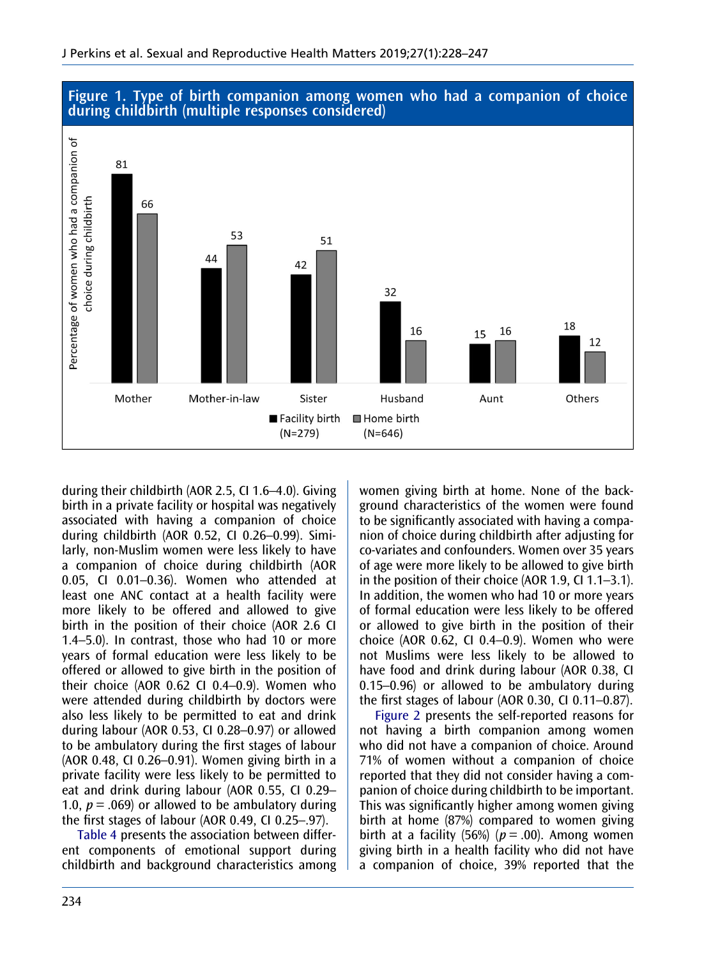

## <span id="page-7-0"></span>Figure 1. Type of birth companion among women who had a companion of choice during childbirth (multiple responses considered)

during their childbirth (AOR 2.5, CI 1.6–4.0). Giving birth in a private facility or hospital was negatively associated with having a companion of choice during childbirth (AOR 0.52, CI 0.26–0.99). Similarly, non-Muslim women were less likely to have a companion of choice during childbirth (AOR 0.05, CI 0.01–0.36). Women who attended at least one ANC contact at a health facility were more likely to be offered and allowed to give birth in the position of their choice (AOR 2.6 CI 1.4–5.0). In contrast, those who had 10 or more years of formal education were less likely to be offered or allowed to give birth in the position of their choice (AOR 0.62 CI 0.4–0.9). Women who were attended during childbirth by doctors were also less likely to be permitted to eat and drink during labour (AOR 0.53, CI 0.28–0.97) or allowed to be ambulatory during the first stages of labour (AOR 0.48, CI 0.26–0.91). Women giving birth in a private facility were less likely to be permitted to eat and drink during labour (AOR 0.55, CI 0.29– 1.0,  $p = .069$  or allowed to be ambulatory during the first stages of labour (AOR 0.49, CI 0.25–.97).

[Table 4](#page-11-0) presents the association between different components of emotional support during childbirth and background characteristics among women giving birth at home. None of the background characteristics of the women were found to be significantly associated with having a companion of choice during childbirth after adjusting for co-variates and confounders. Women over 35 years of age were more likely to be allowed to give birth in the position of their choice (AOR 1.9, CI 1.1–3.1). In addition, the women who had 10 or more years of formal education were less likely to be offered or allowed to give birth in the position of their choice (AOR 0.62, CI 0.4–0.9). Women who were not Muslims were less likely to be allowed to have food and drink during labour (AOR 0.38, CI 0.15–0.96) or allowed to be ambulatory during the first stages of labour (AOR 0.30, CI 0.11–0.87).

[Figure 2](#page-13-0) presents the self-reported reasons for not having a birth companion among women who did not have a companion of choice. Around 71% of women without a companion of choice reported that they did not consider having a companion of choice during childbirth to be important. This was significantly higher among women giving birth at home (87%) compared to women giving birth at a facility (56%) ( $p = .00$ ). Among women giving birth in a health facility who did not have a companion of choice, 39% reported that the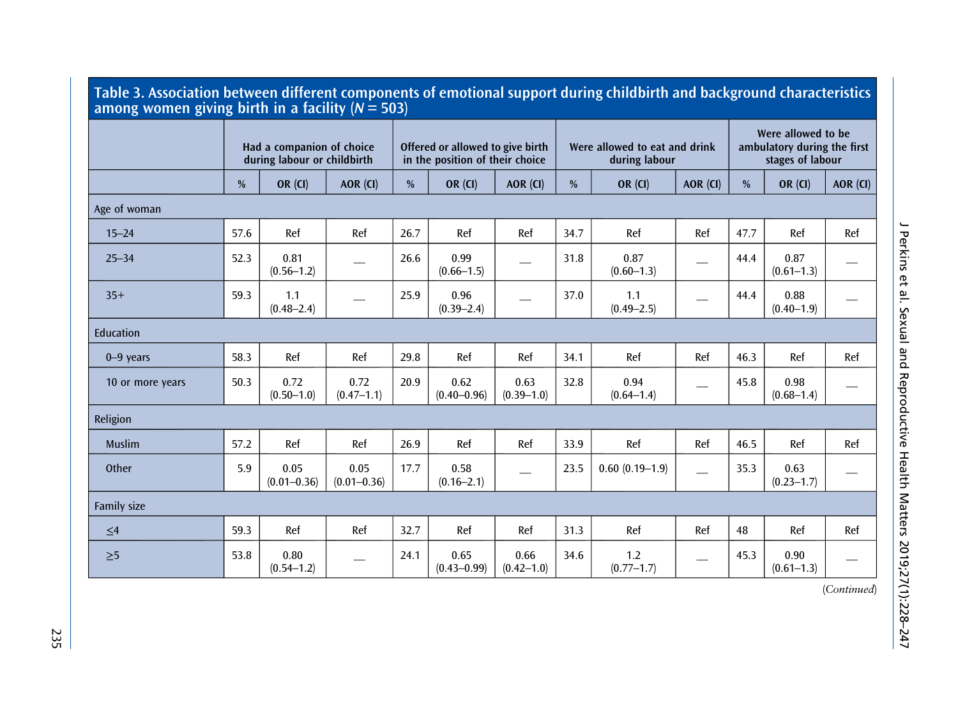<span id="page-8-0"></span>

| Table 3. Association between different components of emotional support during childbirth and background characteristics<br>among women giving birth in a facility ( $N = 503$ ) |      |                                                          |                         |      |                                                                     |                        |      |                                                |                                                                       |      |                        |          |
|---------------------------------------------------------------------------------------------------------------------------------------------------------------------------------|------|----------------------------------------------------------|-------------------------|------|---------------------------------------------------------------------|------------------------|------|------------------------------------------------|-----------------------------------------------------------------------|------|------------------------|----------|
|                                                                                                                                                                                 |      | Had a companion of choice<br>during labour or childbirth |                         |      | Offered or allowed to give birth<br>in the position of their choice |                        |      | Were allowed to eat and drink<br>during labour | Were allowed to be<br>ambulatory during the first<br>stages of labour |      |                        |          |
|                                                                                                                                                                                 | %    | <b>OR (CI)</b>                                           | AOR (CI)                | %    | <b>OR (CI)</b>                                                      | AOR (CI)               | %    | <b>OR (CI)</b>                                 | AOR (CI)                                                              | %    | <b>OR (CI)</b>         | AOR (CI) |
| Age of woman                                                                                                                                                                    |      |                                                          |                         |      |                                                                     |                        |      |                                                |                                                                       |      |                        |          |
| $15 - 24$                                                                                                                                                                       | 57.6 | Ref                                                      | Ref                     | 26.7 | Ref                                                                 | Ref                    | 34.7 | Ref                                            | Ref                                                                   | 47.7 | Ref                    | Ref      |
| $25 - 34$                                                                                                                                                                       | 52.3 | 0.81<br>$(0.56 - 1.2)$                                   |                         | 26.6 | 0.99<br>$(0.66 - 1.5)$                                              |                        | 31.8 | 0.87<br>$(0.60 - 1.3)$                         |                                                                       | 44.4 | 0.87<br>$(0.61 - 1.3)$ |          |
| $35+$                                                                                                                                                                           | 59.3 | 1.1<br>$(0.48 - 2.4)$                                    |                         | 25.9 | 0.96<br>$(0.39 - 2.4)$                                              |                        | 37.0 | 1.1<br>$(0.49 - 2.5)$                          |                                                                       | 44.4 | 0.88<br>$(0.40 - 1.9)$ |          |
| Education                                                                                                                                                                       |      |                                                          |                         |      |                                                                     |                        |      |                                                |                                                                       |      |                        |          |
| $0 - 9$ years                                                                                                                                                                   | 58.3 | Ref                                                      | Ref                     | 29.8 | Ref                                                                 | Ref                    | 34.1 | Ref                                            | Ref                                                                   | 46.3 | Ref                    | Ref      |
| 10 or more years                                                                                                                                                                | 50.3 | 0.72<br>$(0.50 - 1.0)$                                   | 0.72<br>$(0.47 - 1.1)$  | 20.9 | 0.62<br>$(0.40 - 0.96)$                                             | 0.63<br>$(0.39 - 1.0)$ | 32.8 | 0.94<br>$(0.64 - 1.4)$                         |                                                                       | 45.8 | 0.98<br>$(0.68 - 1.4)$ |          |
| Religion                                                                                                                                                                        |      |                                                          |                         |      |                                                                     |                        |      |                                                |                                                                       |      |                        |          |
| <b>Muslim</b>                                                                                                                                                                   | 57.2 | Ref                                                      | Ref                     | 26.9 | Ref                                                                 | Ref                    | 33.9 | Ref                                            | Ref                                                                   | 46.5 | Ref                    | Ref      |
| Other                                                                                                                                                                           | 5.9  | 0.05<br>$(0.01 - 0.36)$                                  | 0.05<br>$(0.01 - 0.36)$ | 17.7 | 0.58<br>$(0.16 - 2.1)$                                              |                        | 23.5 | $0.60(0.19-1.9)$                               |                                                                       | 35.3 | 0.63<br>$(0.23 - 1.7)$ |          |
| Family size                                                                                                                                                                     |      |                                                          |                         |      |                                                                     |                        |      |                                                |                                                                       |      |                        |          |
| $\leq 4$                                                                                                                                                                        | 59.3 | Ref                                                      | Ref                     | 32.7 | Ref                                                                 | Ref                    | 31.3 | Ref                                            | Ref                                                                   | 48   | Ref                    | Ref      |
| $\geq 5$                                                                                                                                                                        | 53.8 | 0.80<br>$(0.54 - 1.2)$                                   |                         | 24.1 | 0.65<br>$(0.43 - 0.99)$                                             | 0.66<br>$(0.42 - 1.0)$ | 34.6 | 1.2<br>$(0.77 - 1.7)$                          |                                                                       | 45.3 | 0.90<br>$(0.61 - 1.3)$ |          |

J Perkins et al. Sexual and Reproductive Health Matters 2019;27(1):228– J Perkins et al. Sexual and Reproductive Health Matters 2019;27(1):228-247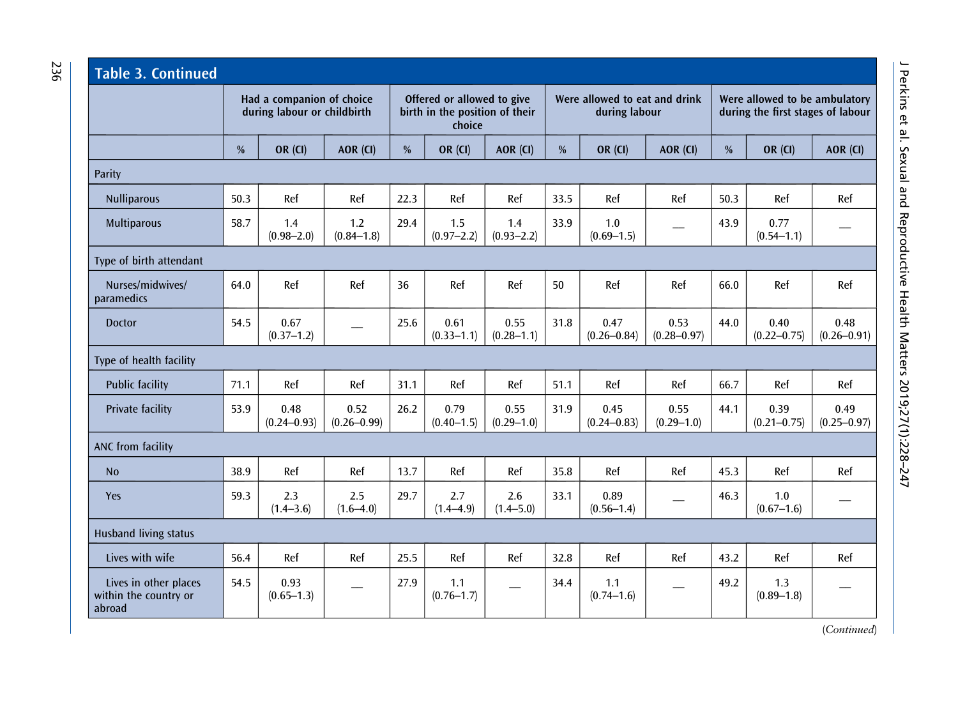| <b>Table 3. Continued</b>                                |               |                                                          |                         |      |                                                                        |                        |               |                                                |                         |      |                                                                    |                         |  |
|----------------------------------------------------------|---------------|----------------------------------------------------------|-------------------------|------|------------------------------------------------------------------------|------------------------|---------------|------------------------------------------------|-------------------------|------|--------------------------------------------------------------------|-------------------------|--|
|                                                          |               | Had a companion of choice<br>during labour or childbirth |                         |      | Offered or allowed to give<br>birth in the position of their<br>choice |                        |               | Were allowed to eat and drink<br>during labour |                         |      | Were allowed to be ambulatory<br>during the first stages of labour |                         |  |
|                                                          | $\frac{0}{0}$ | <b>OR (CI)</b>                                           | AOR (CI)                | %    | <b>OR (CI)</b>                                                         | AOR (CI)               | $\frac{0}{0}$ | <b>OR (CI)</b>                                 | AOR (CI)                | $\%$ | <b>OR (CI)</b>                                                     | AOR (CI)                |  |
| Parity                                                   |               |                                                          |                         |      |                                                                        |                        |               |                                                |                         |      |                                                                    |                         |  |
| <b>Nulliparous</b>                                       | 50.3          | Ref                                                      | Ref                     | 22.3 | Ref                                                                    | Ref                    | 33.5          | Ref                                            | Ref                     | 50.3 | Ref                                                                | Ref                     |  |
| <b>Multiparous</b>                                       | 58.7          | 1.4<br>$(0.98 - 2.0)$                                    | 1.2<br>$(0.84 - 1.8)$   | 29.4 | 1.5<br>$(0.97 - 2.2)$                                                  | 1.4<br>$(0.93 - 2.2)$  | 33.9          | 1.0<br>$(0.69 - 1.5)$                          |                         | 43.9 | 0.77<br>$(0.54 - 1.1)$                                             |                         |  |
| Type of birth attendant                                  |               |                                                          |                         |      |                                                                        |                        |               |                                                |                         |      |                                                                    |                         |  |
| Nurses/midwives/<br>paramedics                           | 64.0          | Ref                                                      | Ref                     | 36   | Ref                                                                    | Ref                    | 50            | Ref                                            | Ref                     | 66.0 | Ref                                                                | Ref                     |  |
| <b>Doctor</b>                                            | 54.5          | 0.67<br>$(0.37 - 1.2)$                                   |                         | 25.6 | 0.61<br>$(0.33 - 1.1)$                                                 | 0.55<br>$(0.28 - 1.1)$ | 31.8          | 0.47<br>$(0.26 - 0.84)$                        | 0.53<br>$(0.28 - 0.97)$ | 44.0 | 0.40<br>$(0.22 - 0.75)$                                            | 0.48<br>$(0.26 - 0.91)$ |  |
| Type of health facility                                  |               |                                                          |                         |      |                                                                        |                        |               |                                                |                         |      |                                                                    |                         |  |
| <b>Public facility</b>                                   | 71.1          | Ref                                                      | Ref                     | 31.1 | Ref                                                                    | Ref                    | 51.1          | Ref                                            | Ref                     | 66.7 | Ref                                                                | Ref                     |  |
| Private facility                                         | 53.9          | 0.48<br>$(0.24 - 0.93)$                                  | 0.52<br>$(0.26 - 0.99)$ | 26.2 | 0.79<br>$(0.40 - 1.5)$                                                 | 0.55<br>$(0.29 - 1.0)$ | 31.9          | 0.45<br>$(0.24 - 0.83)$                        | 0.55<br>$(0.29 - 1.0)$  | 44.1 | 0.39<br>$(0.21 - 0.75)$                                            | 0.49<br>$(0.25 - 0.97)$ |  |
| ANC from facility                                        |               |                                                          |                         |      |                                                                        |                        |               |                                                |                         |      |                                                                    |                         |  |
| <b>No</b>                                                | 38.9          | Ref                                                      | Ref                     | 13.7 | Ref                                                                    | Ref                    | 35.8          | Ref                                            | Ref                     | 45.3 | Ref                                                                | Ref                     |  |
| Yes                                                      | 59.3          | 2.3<br>$(1.4 - 3.6)$                                     | 2.5<br>$(1.6 - 4.0)$    | 29.7 | 2.7<br>$(1.4 - 4.9)$                                                   | 2.6<br>$(1.4 - 5.0)$   | 33.1          | 0.89<br>$(0.56 - 1.4)$                         |                         | 46.3 | 1.0<br>$(0.67 - 1.6)$                                              |                         |  |
| <b>Husband living status</b>                             |               |                                                          |                         |      |                                                                        |                        |               |                                                |                         |      |                                                                    |                         |  |
| Lives with wife                                          | 56.4          | Ref                                                      | Ref                     | 25.5 | Ref                                                                    | Ref                    | 32.8          | Ref                                            | Ref                     | 43.2 | Ref                                                                | Ref                     |  |
| Lives in other places<br>within the country or<br>abroad | 54.5          | 0.93<br>$(0.65 - 1.3)$                                   |                         | 27.9 | 1.1<br>$(0.76 - 1.7)$                                                  |                        | 34.4          | 1.1<br>$(0.74 - 1.6)$                          |                         | 49.2 | 1.3<br>$(0.89 - 1.8)$                                              |                         |  |

236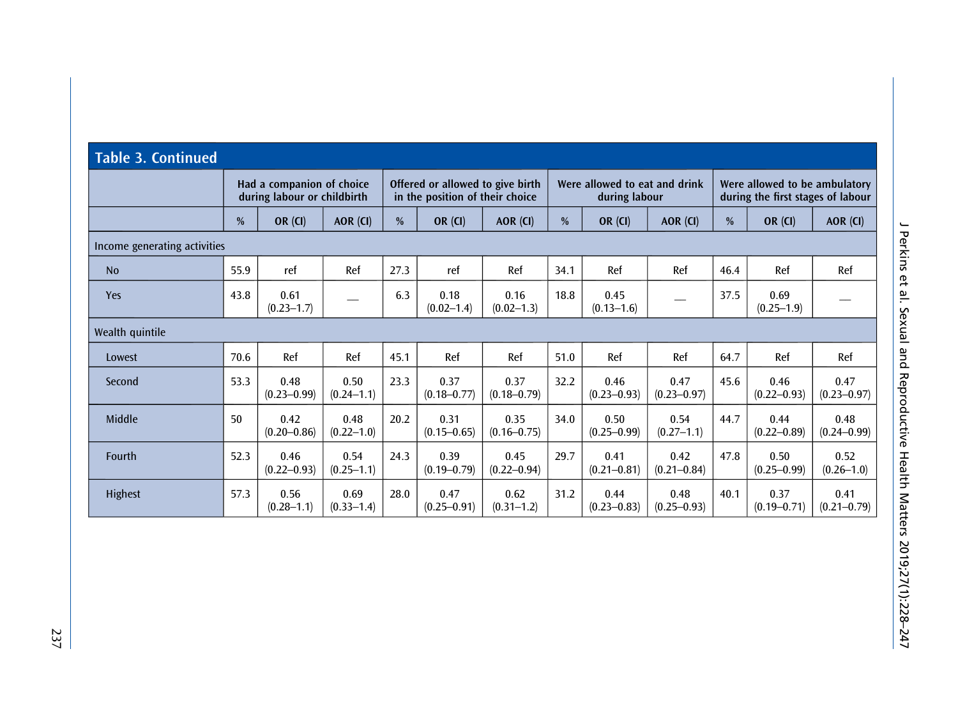| <b>Table 3. Continued</b>    |      |                                                          |                        |      |                                                                     |                         |      |                                                |                         |               |                                                                    |                         |  |
|------------------------------|------|----------------------------------------------------------|------------------------|------|---------------------------------------------------------------------|-------------------------|------|------------------------------------------------|-------------------------|---------------|--------------------------------------------------------------------|-------------------------|--|
|                              |      | Had a companion of choice<br>during labour or childbirth |                        |      | Offered or allowed to give birth<br>in the position of their choice |                         |      | Were allowed to eat and drink<br>during labour |                         |               | Were allowed to be ambulatory<br>during the first stages of labour |                         |  |
|                              | %    | OR $(CI)$                                                | AOR (CI)               | $\%$ | <b>OR (CI)</b>                                                      | AOR (CI)                | %    | <b>OR (CI)</b>                                 | AOR (CI)                | $\frac{0}{0}$ | <b>OR (CI)</b>                                                     | AOR (CI)                |  |
| Income generating activities |      |                                                          |                        |      |                                                                     |                         |      |                                                |                         |               |                                                                    |                         |  |
| <b>No</b>                    | 55.9 | ref                                                      | Ref                    | 27.3 | ref                                                                 | Ref                     | 34.1 | Ref                                            | Ref                     | 46.4          | Ref                                                                | Ref                     |  |
| Yes                          | 43.8 | 0.61<br>$(0.23 - 1.7)$                                   |                        | 6.3  | 0.18<br>$(0.02 - 1.4)$                                              | 0.16<br>$(0.02 - 1.3)$  | 18.8 | 0.45<br>$(0.13 - 1.6)$                         |                         | 37.5          | 0.69<br>$(0.25 - 1.9)$                                             |                         |  |
| Wealth quintile              |      |                                                          |                        |      |                                                                     |                         |      |                                                |                         |               |                                                                    |                         |  |
| Lowest                       | 70.6 | Ref                                                      | Ref                    | 45.1 | Ref                                                                 | Ref                     | 51.0 | Ref                                            | Ref                     | 64.7          | Ref                                                                | Ref                     |  |
| Second                       | 53.3 | 0.48<br>$(0.23 - 0.99)$                                  | 0.50<br>$(0.24 - 1.1)$ | 23.3 | 0.37<br>$(0.18 - 0.77)$                                             | 0.37<br>$(0.18 - 0.79)$ | 32.2 | 0.46<br>$(0.23 - 0.93)$                        | 0.47<br>$(0.23 - 0.97)$ | 45.6          | 0.46<br>$(0.22 - 0.93)$                                            | 0.47<br>$(0.23 - 0.97)$ |  |
| Middle                       | 50   | 0.42<br>$(0.20 - 0.86)$                                  | 0.48<br>$(0.22 - 1.0)$ | 20.2 | 0.31<br>$(0.15 - 0.65)$                                             | 0.35<br>$(0.16 - 0.75)$ | 34.0 | 0.50<br>$(0.25 - 0.99)$                        | 0.54<br>$(0.27 - 1.1)$  | 44.7          | 0.44<br>$(0.22 - 0.89)$                                            | 0.48<br>$(0.24 - 0.99)$ |  |
| Fourth                       | 52.3 | 0.46<br>$(0.22 - 0.93)$                                  | 0.54<br>$(0.25 - 1.1)$ | 24.3 | 0.39<br>$(0.19 - 0.79)$                                             | 0.45<br>$(0.22 - 0.94)$ | 29.7 | 0.41<br>$(0.21 - 0.81)$                        | 0.42<br>$(0.21 - 0.84)$ | 47.8          | 0.50<br>$(0.25 - 0.99)$                                            | 0.52<br>$(0.26 - 1.0)$  |  |
| Highest                      | 57.3 | 0.56<br>$(0.28 - 1.1)$                                   | 0.69<br>$(0.33 - 1.4)$ | 28.0 | 0.47<br>$(0.25 - 0.91)$                                             | 0.62<br>$(0.31 - 1.2)$  | 31.2 | 0.44<br>$(0.23 - 0.83)$                        | 0.48<br>$(0.25 - 0.93)$ | 40.1          | 0.37<br>$(0.19 - 0.71)$                                            | 0.41<br>$(0.21 - 0.79)$ |  |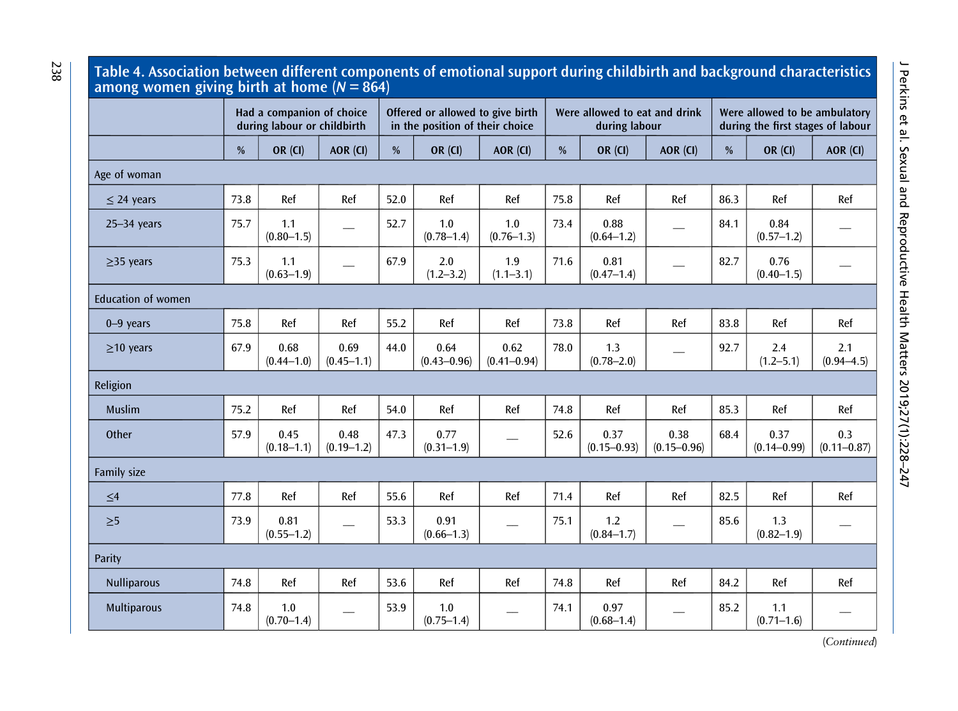#### Table 4. Association between different components of emotional support during childbirth and background characteristics among women giving birth at home ( $N = 864$ )

|                           |      | Had a companion of choice<br>during labour or childbirth |                        |               | Offered or allowed to give birth<br>in the position of their choice |                         |               | Were allowed to eat and drink<br>during labour |                         | Were allowed to be ambulatory<br>during the first stages of labour |                         |                        |
|---------------------------|------|----------------------------------------------------------|------------------------|---------------|---------------------------------------------------------------------|-------------------------|---------------|------------------------------------------------|-------------------------|--------------------------------------------------------------------|-------------------------|------------------------|
|                           | %    | <b>OR (CI)</b>                                           | AOR (CI)               | $\frac{0}{0}$ | <b>OR (CI)</b>                                                      | AOR (CI)                | $\frac{9}{6}$ | <b>OR (CI)</b>                                 | AOR (CI)                | $\frac{0}{0}$                                                      | <b>OR (CI)</b>          | AOR (CI)               |
| Age of woman              |      |                                                          |                        |               |                                                                     |                         |               |                                                |                         |                                                                    |                         |                        |
| $\leq$ 24 years           | 73.8 | Ref                                                      | Ref                    | 52.0          | Ref                                                                 | Ref                     | 75.8          | Ref                                            | Ref                     | 86.3                                                               | Ref                     | Ref                    |
| $25 - 34$ years           | 75.7 | 1.1<br>$(0.80 - 1.5)$                                    |                        | 52.7          | 1.0<br>$(0.78 - 1.4)$                                               | 1.0<br>$(0.76 - 1.3)$   | 73.4          | 0.88<br>$(0.64 - 1.2)$                         |                         | 84.1                                                               | 0.84<br>$(0.57 - 1.2)$  |                        |
| $>35$ years               | 75.3 | 1.1<br>$(0.63 - 1.9)$                                    |                        | 67.9          | 2.0<br>$(1.2 - 3.2)$                                                | 1.9<br>$(1.1 - 3.1)$    | 71.6          | 0.81<br>$(0.47 - 1.4)$                         |                         | 82.7                                                               | 0.76<br>$(0.40 - 1.5)$  |                        |
| <b>Education of women</b> |      |                                                          |                        |               |                                                                     |                         |               |                                                |                         |                                                                    |                         |                        |
| $0 - 9$ years             | 75.8 | Ref                                                      | Ref                    | 55.2          | Ref                                                                 | Ref                     | 73.8          | Ref                                            | Ref                     | 83.8                                                               | Ref                     | Ref                    |
| $\geq$ 10 years           | 67.9 | 0.68<br>$(0.44 - 1.0)$                                   | 0.69<br>$(0.45 - 1.1)$ | 44.0          | 0.64<br>$(0.43 - 0.96)$                                             | 0.62<br>$(0.41 - 0.94)$ | 78.0          | 1.3<br>$(0.78 - 2.0)$                          |                         | 92.7                                                               | 2.4<br>$(1.2 - 5.1)$    | 2.1<br>$(0.94 - 4.5)$  |
| Religion                  |      |                                                          |                        |               |                                                                     |                         |               |                                                |                         |                                                                    |                         |                        |
| <b>Muslim</b>             | 75.2 | Ref                                                      | Ref                    | 54.0          | Ref                                                                 | Ref                     | 74.8          | Ref                                            | Ref                     | 85.3                                                               | Ref                     | Ref                    |
| Other                     | 57.9 | 0.45<br>$(0.18 - 1.1)$                                   | 0.48<br>$(0.19 - 1.2)$ | 47.3          | 0.77<br>$(0.31 - 1.9)$                                              |                         | 52.6          | 0.37<br>$(0.15 - 0.93)$                        | 0.38<br>$(0.15 - 0.96)$ | 68.4                                                               | 0.37<br>$(0.14 - 0.99)$ | 0.3<br>$(0.11 - 0.87)$ |
| Family size               |      |                                                          |                        |               |                                                                     |                         |               |                                                |                         |                                                                    |                         |                        |
| $\leq 4$                  | 77.8 | Ref                                                      | Ref                    | 55.6          | Ref                                                                 | Ref                     | 71.4          | Ref                                            | Ref                     | 82.5                                                               | Ref                     | Ref                    |
| $\geq 5$                  | 73.9 | 0.81<br>$(0.55 - 1.2)$                                   |                        | 53.3          | 0.91<br>$(0.66 - 1.3)$                                              |                         | 75.1          | 1.2<br>$(0.84 - 1.7)$                          |                         | 85.6                                                               | 1.3<br>$(0.82 - 1.9)$   |                        |
| Parity                    |      |                                                          |                        |               |                                                                     |                         |               |                                                |                         |                                                                    |                         |                        |
| <b>Nulliparous</b>        | 74.8 | Ref                                                      | Ref                    | 53.6          | Ref                                                                 | Ref                     | 74.8          | Ref                                            | Ref                     | 84.2                                                               | Ref                     | Ref                    |
| <b>Multiparous</b>        | 74.8 | 1.0<br>$(0.70 - 1.4)$                                    |                        | 53.9          | 1.0<br>$(0.75 - 1.4)$                                               |                         | 74.1          | 0.97<br>$(0.68 - 1.4)$                         |                         | 85.2                                                               | 1.1<br>$(0.71 - 1.6)$   |                        |

J Perkins et al. Sexual and Reproductive Health Matters 2019;27(1):228-247 J Perkins et al. Sexual and Reproductive Health Matters 2019;27(1):228–247

<span id="page-11-0"></span>238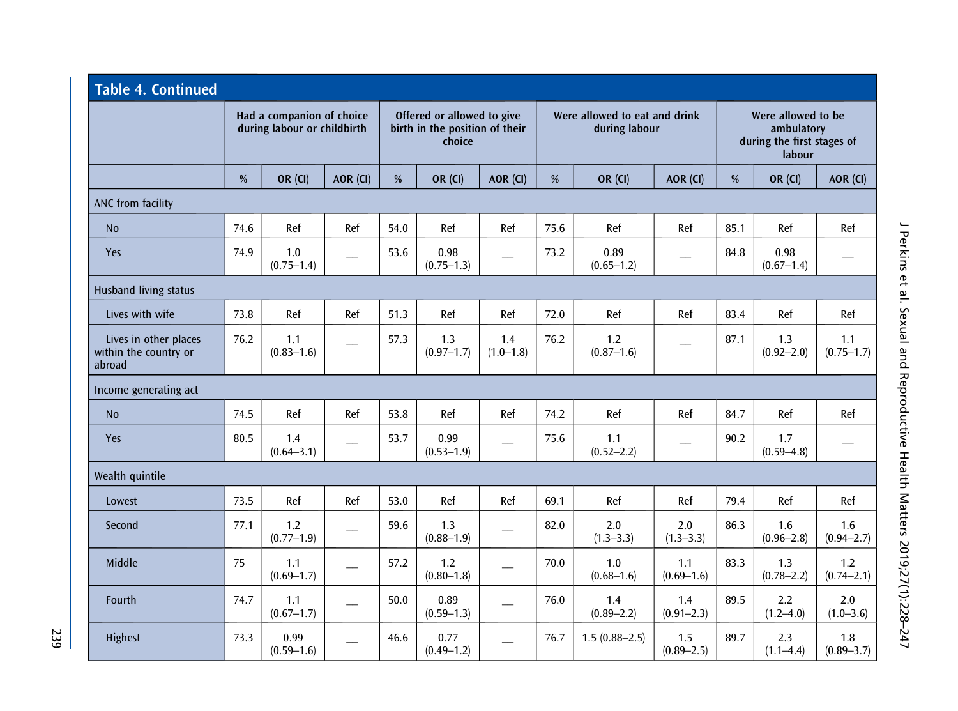| <b>Table 4. Continued</b>                                |                                                          |                        |          |      |                                                                        |                          |      |                                                |                       |      |                                                                          |                       |  |
|----------------------------------------------------------|----------------------------------------------------------|------------------------|----------|------|------------------------------------------------------------------------|--------------------------|------|------------------------------------------------|-----------------------|------|--------------------------------------------------------------------------|-----------------------|--|
|                                                          | Had a companion of choice<br>during labour or childbirth |                        |          |      | Offered or allowed to give<br>birth in the position of their<br>choice |                          |      | Were allowed to eat and drink<br>during labour |                       |      | Were allowed to be<br>ambulatory<br>during the first stages of<br>labour |                       |  |
|                                                          | %                                                        | <b>OR (CI)</b>         | AOR (CI) | %    | OR (CI)                                                                | AOR (CI)                 | %    | <b>OR (CI)</b>                                 | AOR (CI)              | $\%$ | <b>OR (CI)</b>                                                           | AOR (CI)              |  |
| ANC from facility                                        |                                                          |                        |          |      |                                                                        |                          |      |                                                |                       |      |                                                                          |                       |  |
| N <sub>0</sub>                                           | 74.6                                                     | Ref                    | Ref      | 54.0 | Ref                                                                    | Ref                      | 75.6 | Ref                                            | Ref                   | 85.1 | Ref                                                                      | Ref                   |  |
| Yes                                                      | 74.9                                                     | 1.0<br>$(0.75 - 1.4)$  |          | 53.6 | 0.98<br>$(0.75 - 1.3)$                                                 |                          | 73.2 | 0.89<br>$(0.65 - 1.2)$                         |                       | 84.8 | 0.98<br>$(0.67 - 1.4)$                                                   |                       |  |
| <b>Husband living status</b>                             |                                                          |                        |          |      |                                                                        |                          |      |                                                |                       |      |                                                                          |                       |  |
| Lives with wife                                          | 73.8                                                     | Ref                    | Ref      | 51.3 | Ref                                                                    | Ref                      | 72.0 | Ref                                            | Ref                   | 83.4 | Ref                                                                      | Ref                   |  |
| Lives in other places<br>within the country or<br>abroad | 76.2                                                     | 1.1<br>$(0.83 - 1.6)$  |          | 57.3 | 1.3<br>$(0.97 - 1.7)$                                                  | 1.4<br>$(1.0 - 1.8)$     | 76.2 | 1.2<br>$(0.87 - 1.6)$                          |                       | 87.1 | 1.3<br>$(0.92 - 2.0)$                                                    | 1.1<br>$(0.75 - 1.7)$ |  |
| Income generating act                                    |                                                          |                        |          |      |                                                                        |                          |      |                                                |                       |      |                                                                          |                       |  |
| <b>No</b>                                                | 74.5                                                     | Ref                    | Ref      | 53.8 | Ref                                                                    | Ref                      | 74.2 | Ref                                            | Ref                   | 84.7 | Ref                                                                      | Ref                   |  |
| <b>Yes</b>                                               | 80.5                                                     | 1.4<br>$(0.64 - 3.1)$  |          | 53.7 | 0.99<br>$(0.53 - 1.9)$                                                 |                          | 75.6 | 1.1<br>$(0.52 - 2.2)$                          |                       | 90.2 | 1.7<br>$(0.59 - 4.8)$                                                    |                       |  |
| Wealth quintile                                          |                                                          |                        |          |      |                                                                        |                          |      |                                                |                       |      |                                                                          |                       |  |
| Lowest                                                   | 73.5                                                     | Ref                    | Ref      | 53.0 | Ref                                                                    | Ref                      | 69.1 | Ref                                            | Ref                   | 79.4 | Ref                                                                      | Ref                   |  |
| Second                                                   | 77.1                                                     | 1.2<br>$(0.77 - 1.9)$  |          | 59.6 | 1.3<br>$(0.88 - 1.9)$                                                  |                          | 82.0 | 2.0<br>$(1.3 - 3.3)$                           | 2.0<br>$(1.3 - 3.3)$  | 86.3 | 1.6<br>$(0.96 - 2.8)$                                                    | 1.6<br>$(0.94 - 2.7)$ |  |
| Middle                                                   | 75                                                       | 1.1<br>$(0.69 - 1.7)$  |          | 57.2 | 1.2<br>$(0.80 - 1.8)$                                                  | $\overline{\phantom{0}}$ | 70.0 | 1.0<br>$(0.68 - 1.6)$                          | 1.1<br>$(0.69 - 1.6)$ | 83.3 | 1.3<br>$(0.78 - 2.2)$                                                    | 1.2<br>$(0.74 - 2.1)$ |  |
| Fourth                                                   | 74.7                                                     | 1.1<br>$(0.67 - 1.7)$  |          | 50.0 | 0.89<br>$(0.59 - 1.3)$                                                 | $\overline{\phantom{0}}$ | 76.0 | 1.4<br>$(0.89 - 2.2)$                          | 1.4<br>$(0.91 - 2.3)$ | 89.5 | 2.2<br>$(1.2 - 4.0)$                                                     | 2.0<br>$(1.0 - 3.6)$  |  |
| Highest                                                  | 73.3                                                     | 0.99<br>$(0.59 - 1.6)$ |          | 46.6 | 0.77<br>$(0.49 - 1.2)$                                                 |                          | 76.7 | $1.5(0.88 - 2.5)$                              | 1.5<br>$(0.89 - 2.5)$ | 89.7 | 2.3<br>$(1.1 - 4.4)$                                                     | 1.8<br>$(0.89 - 3.7)$ |  |

239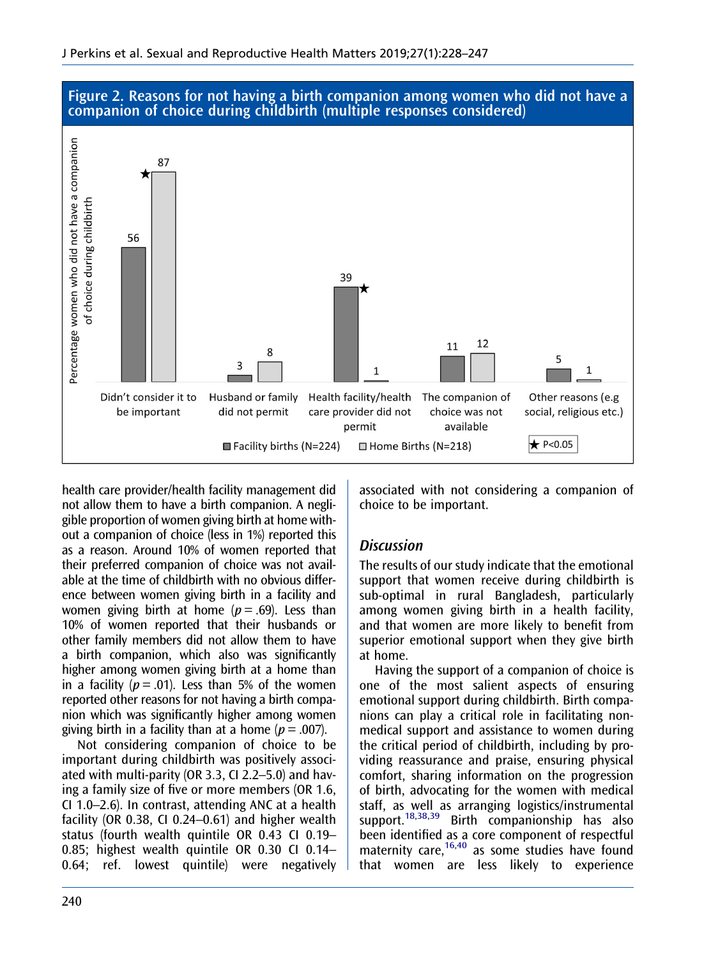

<span id="page-13-0"></span>Figure 2. Reasons for not having a birth companion among women who did not have a companion of choice during childbirth (multiple responses considered)

health care provider/health facility management did not allow them to have a birth companion. A negligible proportion of women giving birth at home without a companion of choice (less in 1%) reported this as a reason. Around 10% of women reported that their preferred companion of choice was not available at the time of childbirth with no obvious difference between women giving birth in a facility and women giving birth at home  $(p = .69)$ . Less than 10% of women reported that their husbands or other family members did not allow them to have a birth companion, which also was significantly higher among women giving birth at a home than in a facility ( $p = .01$ ). Less than 5% of the women reported other reasons for not having a birth companion which was significantly higher among women giving birth in a facility than at a home ( $p = .007$ ).

Not considering companion of choice to be important during childbirth was positively associated with multi-parity (OR 3.3, CI 2.2–5.0) and having a family size of five or more members (OR 1.6, CI 1.0–2.6). In contrast, attending ANC at a health facility (OR 0.38, CI 0.24–0.61) and higher wealth status (fourth wealth quintile OR 0.43 CI 0.19– 0.85; highest wealth quintile OR 0.30 CI 0.14– 0.64; ref. lowest quintile) were negatively associated with not considering a companion of choice to be important.

## **Discussion**

The results of our study indicate that the emotional support that women receive during childbirth is sub-optimal in rural Bangladesh, particularly among women giving birth in a health facility, and that women are more likely to benefit from superior emotional support when they give birth at home.

Having the support of a companion of choice is one of the most salient aspects of ensuring emotional support during childbirth. Birth companions can play a critical role in facilitating nonmedical support and assistance to women during the critical period of childbirth, including by providing reassurance and praise, ensuring physical comfort, sharing information on the progression of birth, advocating for the women with medical staff, as well as arranging logistics/instrumental support.<sup>[18](#page-18-0)[,38,39](#page-19-0)</sup> Birth companionship has also been identified as a core component of respectful maternity care,<sup>16[,40](#page-19-0)</sup> as some studies have found that women are less likely to experience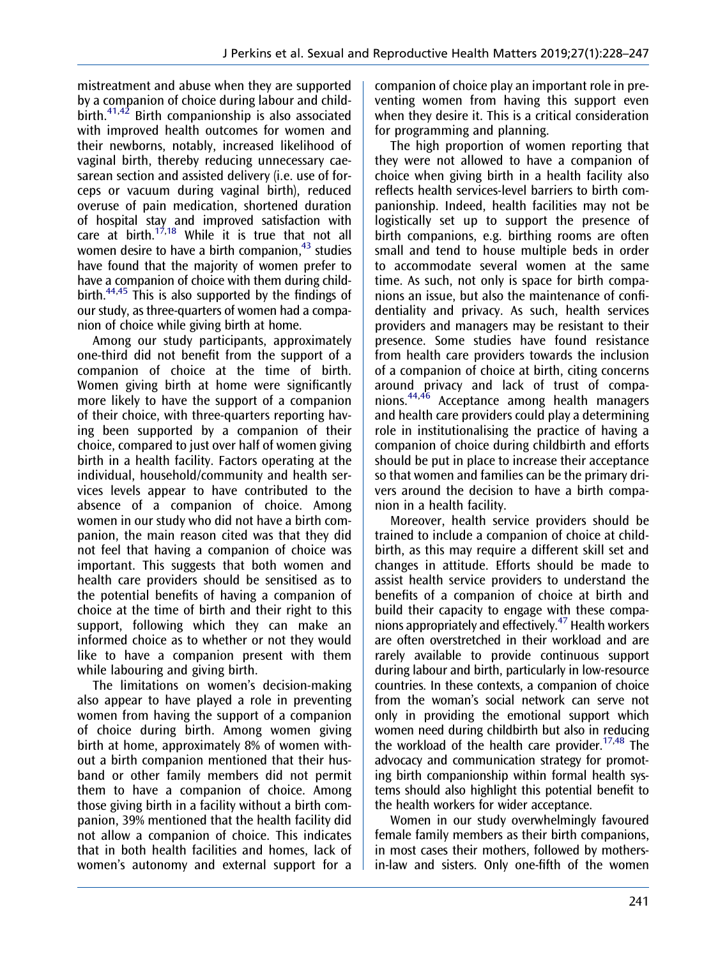<span id="page-14-0"></span>mistreatment and abuse when they are supported by a companion of choice during labour and child-birth.<sup>[41](#page-19-0),[42](#page-19-0)</sup> Birth companionship is also associated with improved health outcomes for women and their newborns, notably, increased likelihood of vaginal birth, thereby reducing unnecessary caesarean section and assisted delivery (i.e. use of forceps or vacuum during vaginal birth), reduced overuse of pain medication, shortened duration of hospital stay and improved satisfaction with care at birth.<sup>17,18</sup> While it is true that not all women desire to have a birth companion, $43$  studies have found that the majority of women prefer to have a companion of choice with them during child-birth.<sup>[44,45](#page-19-0)</sup> This is also supported by the findings of our study, as three-quarters of women had a companion of choice while giving birth at home.

Among our study participants, approximately one-third did not benefit from the support of a companion of choice at the time of birth. Women giving birth at home were significantly more likely to have the support of a companion of their choice, with three-quarters reporting having been supported by a companion of their choice, compared to just over half of women giving birth in a health facility. Factors operating at the individual, household/community and health services levels appear to have contributed to the absence of a companion of choice. Among women in our study who did not have a birth companion, the main reason cited was that they did not feel that having a companion of choice was important. This suggests that both women and health care providers should be sensitised as to the potential benefits of having a companion of choice at the time of birth and their right to this support, following which they can make an informed choice as to whether or not they would like to have a companion present with them while labouring and giving birth.

The limitations on women's decision-making also appear to have played a role in preventing women from having the support of a companion of choice during birth. Among women giving birth at home, approximately 8% of women without a birth companion mentioned that their husband or other family members did not permit them to have a companion of choice. Among those giving birth in a facility without a birth companion, 39% mentioned that the health facility did not allow a companion of choice. This indicates that in both health facilities and homes, lack of women's autonomy and external support for a

companion of choice play an important role in preventing women from having this support even when they desire it. This is a critical consideration for programming and planning.

The high proportion of women reporting that they were not allowed to have a companion of choice when giving birth in a health facility also reflects health services-level barriers to birth companionship. Indeed, health facilities may not be logistically set up to support the presence of birth companions, e.g. birthing rooms are often small and tend to house multiple beds in order to accommodate several women at the same time. As such, not only is space for birth companions an issue, but also the maintenance of confidentiality and privacy. As such, health services providers and managers may be resistant to their presence. Some studies have found resistance from health care providers towards the inclusion of a companion of choice at birth, citing concerns around privacy and lack of trust of companions.[44,46](#page-19-0) Acceptance among health managers and health care providers could play a determining role in institutionalising the practice of having a companion of choice during childbirth and efforts should be put in place to increase their acceptance so that women and families can be the primary drivers around the decision to have a birth companion in a health facility.

Moreover, health service providers should be trained to include a companion of choice at childbirth, as this may require a different skill set and changes in attitude. Efforts should be made to assist health service providers to understand the benefits of a companion of choice at birth and build their capacity to engage with these companions appropriately and effectively[.47](#page-19-0) Health workers are often overstretched in their workload and are rarely available to provide continuous support during labour and birth, particularly in low-resource countries. In these contexts, a companion of choice from the woman's social network can serve not only in providing the emotional support which women need during childbirth but also in reducing the workload of the health care provider.<sup>17[,48](#page-19-0)</sup> The advocacy and communication strategy for promoting birth companionship within formal health systems should also highlight this potential benefit to the health workers for wider acceptance.

Women in our study overwhelmingly favoured female family members as their birth companions, in most cases their mothers, followed by mothersin-law and sisters. Only one-fifth of the women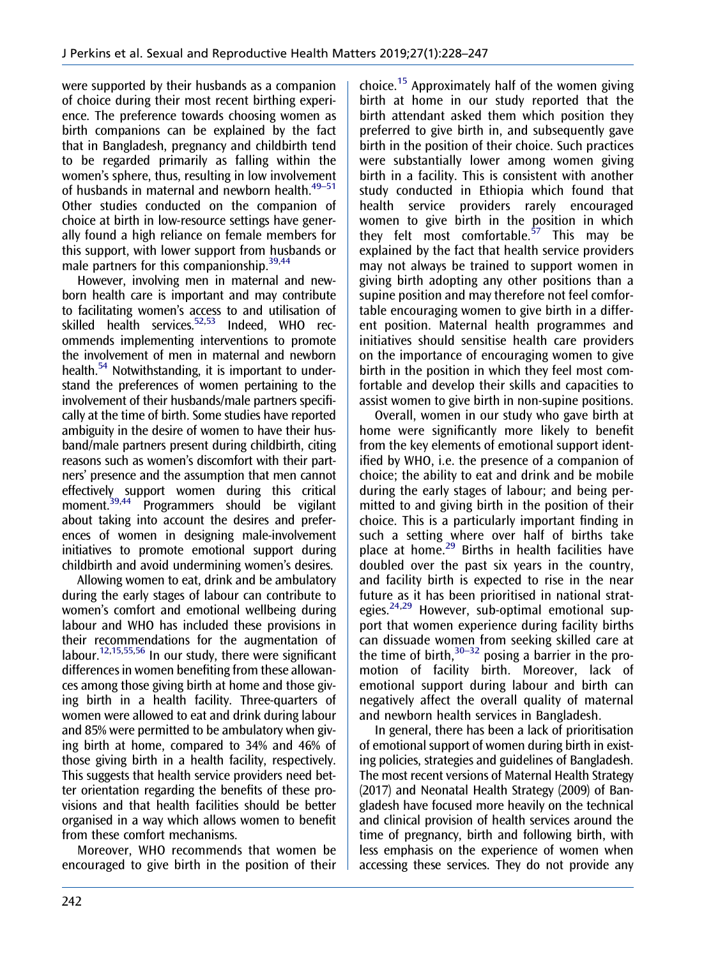<span id="page-15-0"></span>were supported by their husbands as a companion of choice during their most recent birthing experience. The preference towards choosing women as birth companions can be explained by the fact that in Bangladesh, pregnancy and childbirth tend to be regarded primarily as falling within the women's sphere, thus, resulting in low involvement of husbands in maternal and newborn health.<sup>49-51</sup> Other studies conducted on the companion of choice at birth in low-resource settings have generally found a high reliance on female members for this support, with lower support from husbands or male partners for this companionship. $39,44$ 

However, involving men in maternal and newborn health care is important and may contribute to facilitating women's access to and utilisation of skilled health services.<sup>52,53</sup> Indeed, WHO recommends implementing interventions to promote the involvement of men in maternal and newborn health.<sup>54</sup> Notwithstanding, it is important to understand the preferences of women pertaining to the involvement of their husbands/male partners specifically at the time of birth. Some studies have reported ambiguity in the desire of women to have their husband/male partners present during childbirth, citing reasons such as women's discomfort with their partners' presence and the assumption that men cannot effectively support women during this critical moment.<sup>39,44</sup> Programmers should be vigilant about taking into account the desires and preferences of women in designing male-involvement initiatives to promote emotional support during childbirth and avoid undermining women's desires.

Allowing women to eat, drink and be ambulatory during the early stages of labour can contribute to women's comfort and emotional wellbeing during labour and WHO has included these provisions in their recommendations for the augmentation of labour.<sup>12,[15,](#page-18-0)[55,56](#page-19-0)</sup> In our study, there were significant differences in women benefiting from these allowances among those giving birth at home and those giving birth in a health facility. Three-quarters of women were allowed to eat and drink during labour and 85% were permitted to be ambulatory when giving birth at home, compared to 34% and 46% of those giving birth in a health facility, respectively. This suggests that health service providers need better orientation regarding the benefits of these provisions and that health facilities should be better organised in a way which allows women to benefit from these comfort mechanisms.

Moreover, WHO recommends that women be encouraged to give birth in the position of their choice.[15](#page-18-0) Approximately half of the women giving birth at home in our study reported that the birth attendant asked them which position they preferred to give birth in, and subsequently gave birth in the position of their choice. Such practices were substantially lower among women giving birth in a facility. This is consistent with another study conducted in Ethiopia which found that health service providers rarely encouraged women to give birth in the position in which they felt most comfortable.<sup>[57](#page-19-0)</sup> This may be explained by the fact that health service providers may not always be trained to support women in giving birth adopting any other positions than a supine position and may therefore not feel comfortable encouraging women to give birth in a different position. Maternal health programmes and initiatives should sensitise health care providers on the importance of encouraging women to give birth in the position in which they feel most comfortable and develop their skills and capacities to assist women to give birth in non-supine positions.

Overall, women in our study who gave birth at home were significantly more likely to benefit from the key elements of emotional support identified by WHO, i.e. the presence of a companion of choice; the ability to eat and drink and be mobile during the early stages of labour; and being permitted to and giving birth in the position of their choice. This is a particularly important finding in such a setting where over half of births take place at home.<sup>[29](#page-18-0)</sup> Births in health facilities have doubled over the past six years in the country, and facility birth is expected to rise in the near future as it has been prioritised in national strat-egies.<sup>[24,29](#page-18-0)</sup> However, sub-optimal emotional support that women experience during facility births can dissuade women from seeking skilled care at the time of birth, $30-32$  posing a barrier in the promotion of facility birth. Moreover, lack of emotional support during labour and birth can negatively affect the overall quality of maternal and newborn health services in Bangladesh.

In general, there has been a lack of prioritisation of emotional support of women during birth in existing policies, strategies and guidelines of Bangladesh. The most recent versions of Maternal Health Strategy (2017) and Neonatal Health Strategy (2009) of Bangladesh have focused more heavily on the technical and clinical provision of health services around the time of pregnancy, birth and following birth, with less emphasis on the experience of women when accessing these services. They do not provide any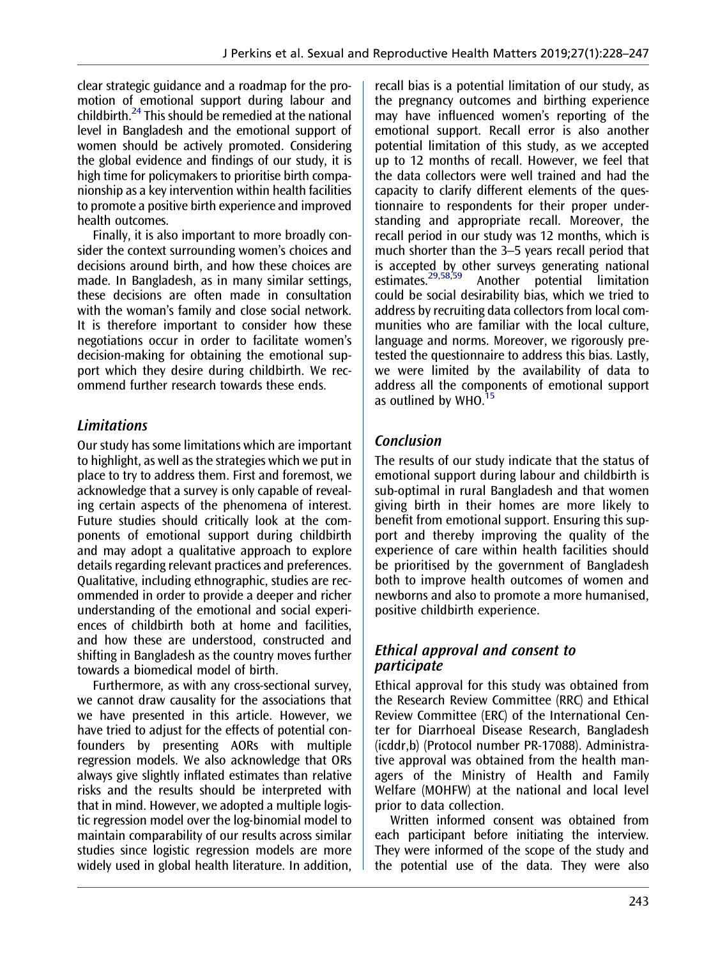<span id="page-16-0"></span>clear strategic guidance and a roadmap for the promotion of emotional support during labour and childbirth. $^{24}$  $^{24}$  $^{24}$  This should be remedied at the national level in Bangladesh and the emotional support of women should be actively promoted. Considering the global evidence and findings of our study, it is high time for policymakers to prioritise birth companionship as a key intervention within health facilities to promote a positive birth experience and improved health outcomes.

Finally, it is also important to more broadly consider the context surrounding women's choices and decisions around birth, and how these choices are made. In Bangladesh, as in many similar settings, these decisions are often made in consultation with the woman's family and close social network. It is therefore important to consider how these negotiations occur in order to facilitate women's decision-making for obtaining the emotional support which they desire during childbirth. We recommend further research towards these ends.

## **Limitations**

Our study has some limitations which are important to highlight, as well as the strategies which we put in place to try to address them. First and foremost, we acknowledge that a survey is only capable of revealing certain aspects of the phenomena of interest. Future studies should critically look at the components of emotional support during childbirth and may adopt a qualitative approach to explore details regarding relevant practices and preferences. Qualitative, including ethnographic, studies are recommended in order to provide a deeper and richer understanding of the emotional and social experiences of childbirth both at home and facilities, and how these are understood, constructed and shifting in Bangladesh as the country moves further towards a biomedical model of birth.

Furthermore, as with any cross-sectional survey, we cannot draw causality for the associations that we have presented in this article. However, we have tried to adjust for the effects of potential confounders by presenting AORs with multiple regression models. We also acknowledge that ORs always give slightly inflated estimates than relative risks and the results should be interpreted with that in mind. However, we adopted a multiple logistic regression model over the log-binomial model to maintain comparability of our results across similar studies since logistic regression models are more widely used in global health literature. In addition, recall bias is a potential limitation of our study, as the pregnancy outcomes and birthing experience may have influenced women's reporting of the emotional support. Recall error is also another potential limitation of this study, as we accepted up to 12 months of recall. However, we feel that the data collectors were well trained and had the capacity to clarify different elements of the questionnaire to respondents for their proper understanding and appropriate recall. Moreover, the recall period in our study was 12 months, which is much shorter than the 3–5 years recall period that is accepted by other surveys generating national<br>estimates.<sup>29,58,59</sup> Another potential limitation Another potential limitation could be social desirability bias, which we tried to address by recruiting data collectors from local communities who are familiar with the local culture, language and norms. Moreover, we rigorously pretested the questionnaire to address this bias. Lastly, we were limited by the availability of data to address all the components of emotional support as outlined by  $WHO.<sup>15</sup>$  $WHO.<sup>15</sup>$  $WHO.<sup>15</sup>$ 

## Conclusion

The results of our study indicate that the status of emotional support during labour and childbirth is sub-optimal in rural Bangladesh and that women giving birth in their homes are more likely to benefit from emotional support. Ensuring this support and thereby improving the quality of the experience of care within health facilities should be prioritised by the government of Bangladesh both to improve health outcomes of women and newborns and also to promote a more humanised, positive childbirth experience.

## Ethical approval and consent to participate

Ethical approval for this study was obtained from the Research Review Committee (RRC) and Ethical Review Committee (ERC) of the International Center for Diarrhoeal Disease Research, Bangladesh (icddr,b) (Protocol number PR-17088). Administrative approval was obtained from the health managers of the Ministry of Health and Family Welfare (MOHFW) at the national and local level prior to data collection.

Written informed consent was obtained from each participant before initiating the interview. They were informed of the scope of the study and the potential use of the data. They were also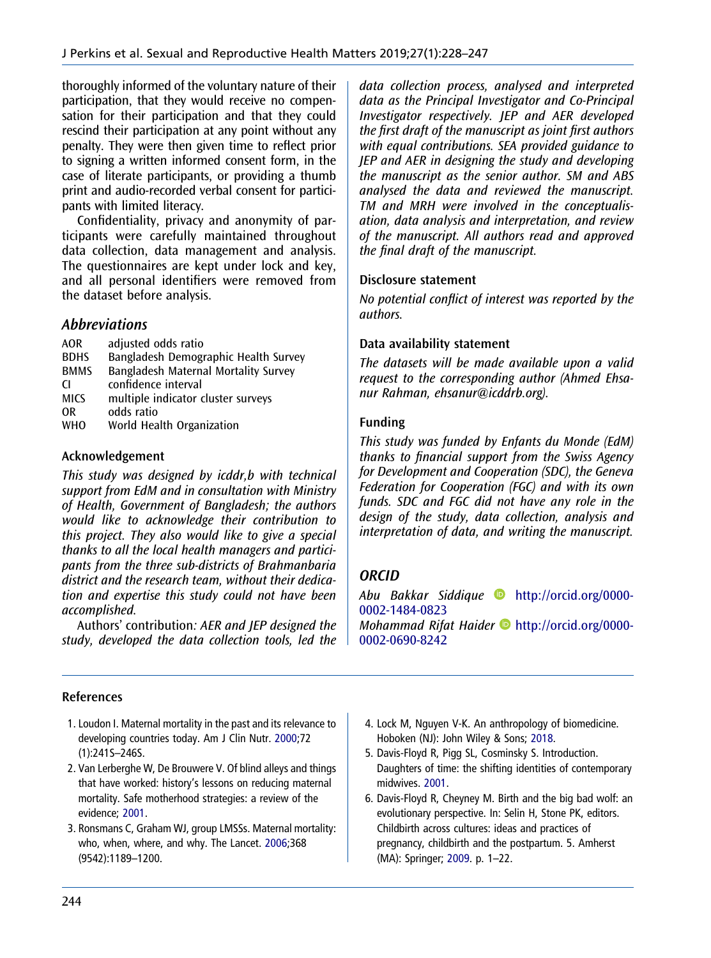thoroughly informed of the voluntary nature of their participation, that they would receive no compensation for their participation and that they could rescind their participation at any point without any penalty. They were then given time to reflect prior to signing a written informed consent form, in the case of literate participants, or providing a thumb print and audio-recorded verbal consent for participants with limited literacy.

Confidentiality, privacy and anonymity of participants were carefully maintained throughout data collection, data management and analysis. The questionnaires are kept under lock and key, and all personal identifiers were removed from the dataset before analysis.

## Abbreviations

| <b>AOR</b>  | adjusted odds ratio                  |
|-------------|--------------------------------------|
| <b>BDHS</b> | Bangladesh Demographic Health Survey |
| <b>BMMS</b> | Bangladesh Maternal Mortality Survey |
| <b>CI</b>   | confidence interval                  |
| <b>MICS</b> | multiple indicator cluster surveys   |
| 0R          | odds ratio                           |
| <b>WHO</b>  | World Health Organization            |
|             |                                      |

#### Acknowledgement

This study was designed by icddr,b with technical support from EdM and in consultation with Ministry of Health, Government of Bangladesh; the authors would like to acknowledge their contribution to this project. They also would like to give a special thanks to all the local health managers and participants from the three sub-districts of Brahmanbaria district and the research team, without their dedication and expertise this study could not have been accomplished.

Authors' contribution: AER and JEP designed the study, developed the data collection tools, led the data collection process, analysed and interpreted data as the Principal Investigator and Co-Principal Investigator respectively. JEP and AER developed the first draft of the manuscript as joint first authors with equal contributions. SEA provided guidance to JEP and AER in designing the study and developing the manuscript as the senior author. SM and ABS analysed the data and reviewed the manuscript. TM and MRH were involved in the conceptualisation, data analysis and interpretation, and review of the manuscript. All authors read and approved the final draft of the manuscript.

#### Disclosure statement

No potential conflict of interest was reported by the authors.

## Data availability statement

The datasets will be made available upon a valid request to the corresponding author (Ahmed Ehsanur Rahman, ehsanur@icddrb.org).

#### Funding

This study was funded by Enfants du Monde (EdM) thanks to financial support from the Swiss Agency for Development and Cooperation (SDC), the Geneva Federation for Cooperation (FGC) and with its own funds. SDC and FGC did not have any role in the design of the study, data collection, analysis and interpretation of data, and writing the manuscript.

## **ORCID**

Abu Bakkar Siddique [http://orcid.org/0000-](http://orcid.org/0000-0002-1484-0823) [0002-1484-0823](http://orcid.org/0000-0002-1484-0823) Mohammad Rifat Haider  $\bullet$  [http://orcid.org/0000-](http://orcid.org/0000-0002-0690-8242) [0002-0690-8242](http://orcid.org/0000-0002-0690-8242)

## References

- 1. Loudon I. Maternal mortality in the past and its relevance to developing countries today. Am J Clin Nutr. [2000;](#page-1-0)72 (1):241S–246S.
- 2. Van Lerberghe W, De Brouwere V. Of blind alleys and things that have worked: history's lessons on reducing maternal mortality. Safe motherhood strategies: a review of the evidence; 2001.
- 3. Ronsmans C, Graham WJ, group LMSSs. Maternal mortality: who, when, where, and why. The Lancet. 2006;368 (9542):1189–1200.
- 4. Lock M, Nguyen V-K. An anthropology of biomedicine. Hoboken (NJ): John Wiley & Sons; [2018.](#page-1-0)
- 5. Davis-Floyd R, Pigg SL, Cosminsky S. Introduction. Daughters of time: the shifting identities of contemporary midwives. 2001.
- 6. Davis-Floyd R, Cheyney M. Birth and the big bad wolf: an evolutionary perspective. In: Selin H, Stone PK, editors. Childbirth across cultures: ideas and practices of pregnancy, childbirth and the postpartum. 5. Amherst (MA): Springer; 2009. p. 1–22.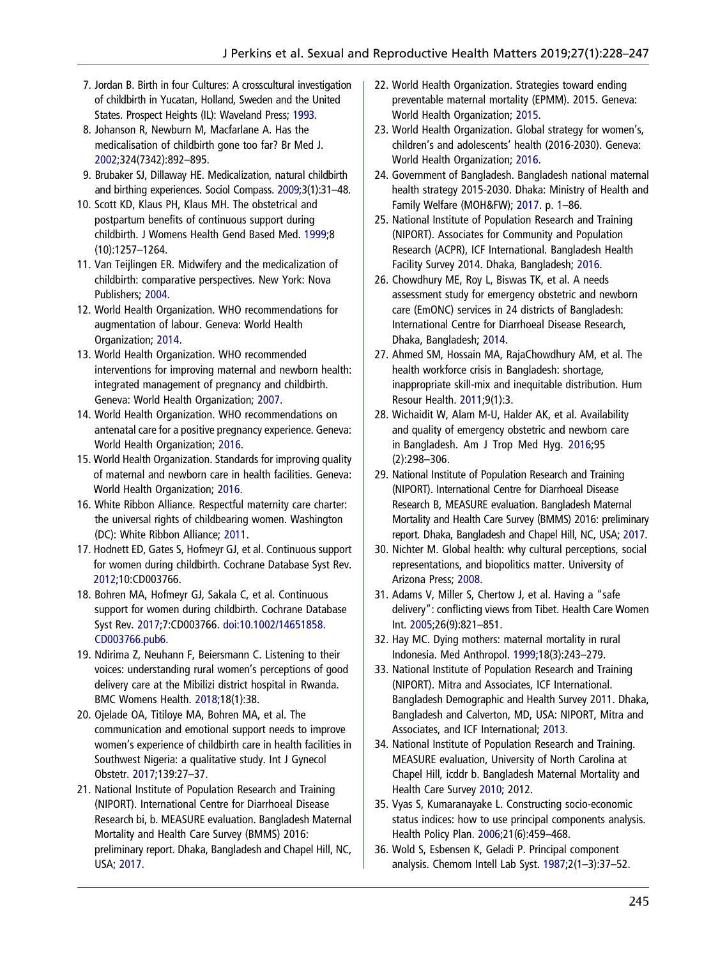- <span id="page-18-0"></span>7. Jordan B. Birth in four Cultures: A crosscultural investigation of childbirth in Yucatan, Holland, Sweden and the United States. Prospect Heights (IL): Waveland Press: 1993.
- 8. Johanson R, Newburn M, Macfarlane A. Has the medicalisation of childbirth gone too far? Br Med J. [2002;](#page-2-0)324(7342):892–895.
- 9. Brubaker SJ, Dillaway HE. Medicalization, natural childbirth and birthing experiences. Sociol Compass. 2009;3(1):31–48.
- 10. Scott KD, Klaus PH, Klaus MH. The obstetrical and postpartum benefits of continuous support during childbirth. J Womens Health Gend Based Med. 1999;8 (10):1257–1264.
- 11. Van Teijlingen ER. Midwifery and the medicalization of childbirth: comparative perspectives. New York: Nova Publishers; 2004.
- 12. World Health Organization. WHO recommendations for augmentation of labour. Geneva: World Health Organization; [2014](#page-2-0).
- 13. World Health Organization. WHO recommended interventions for improving maternal and newborn health: integrated management of pregnancy and childbirth. Geneva: World Health Organization; [2007](#page-2-0).
- 14. World Health Organization. WHO recommendations on antenatal care for a positive pregnancy experience. Geneva: World Health Organization; [2016.](#page-2-0)
- 15. World Health Organization. Standards for improving quality of maternal and newborn care in health facilities. Geneva: World Health Organization; [2016](#page-2-0).
- 16. White Ribbon Alliance. Respectful maternity care charter: the universal rights of childbearing women. Washington (DC): White Ribbon Alliance; [2011.](#page-13-0)
- 17. Hodnett ED, Gates S, Hofmeyr GJ, et al. Continuous support for women during childbirth. Cochrane Database Syst Rev. [2012](#page-2-0);10:CD003766.
- 18. Bohren MA, Hofmeyr GJ, Sakala C, et al. Continuous support for women during childbirth. Cochrane Database Syst Rev. [2017](#page-2-0);7:CD003766. [doi:10.1002/14651858.](https://doi.org/10.1002/14651858.CD003766.pub6) [CD003766.pub6.](https://doi.org/10.1002/14651858.CD003766.pub6)
- 19. Ndirima Z, Neuhann F, Beiersmann C. Listening to their voices: understanding rural women's perceptions of good delivery care at the Mibilizi district hospital in Rwanda. BMC Womens Health. [2018](#page-2-0);18(1):38.
- 20. Ojelade OA, Titiloye MA, Bohren MA, et al. The communication and emotional support needs to improve women's experience of childbirth care in health facilities in Southwest Nigeria: a qualitative study. Int J Gynecol Obstetr. [2017;](#page-2-0)139:27–37.
- 21. National Institute of Population Research and Training (NIPORT). International Centre for Diarrhoeal Disease Research bi, b. MEASURE evaluation. Bangladesh Maternal Mortality and Health Care Survey (BMMS) 2016: preliminary report. Dhaka, Bangladesh and Chapel Hill, NC, USA; [2017.](#page-2-0)
- 22. World Health Organization. Strategies toward ending preventable maternal mortality (EPMM). 2015. Geneva: World Health Organization; [2015.](#page-2-0)
- 23. World Health Organization. Global strategy for women's, children's and adolescents' health (2016-2030). Geneva: World Health Organization; [2016.](#page-2-0)
- 24. Government of Bangladesh. Bangladesh national maternal health strategy 2015-2030. Dhaka: Ministry of Health and Family Welfare (MOH&FW); [2017](#page-2-0). p. 1–86.
- 25. National Institute of Population Research and Training (NIPORT). Associates for Community and Population Research (ACPR), ICF International. Bangladesh Health Facility Survey 2014. Dhaka, Bangladesh; [2016.](#page-2-0)
- 26. Chowdhury ME, Roy L, Biswas TK, et al. A needs assessment study for emergency obstetric and newborn care (EmONC) services in 24 districts of Bangladesh: International Centre for Diarrhoeal Disease Research, Dhaka, Bangladesh; [2014.](#page-2-0)
- 27. Ahmed SM, Hossain MA, RajaChowdhury AM, et al. The health workforce crisis in Bangladesh: shortage, inappropriate skill-mix and inequitable distribution. Hum Resour Health. [2011;](#page-2-0)9(1):3.
- 28. Wichaidit W, Alam M-U, Halder AK, et al. Availability and quality of emergency obstetric and newborn care in Bangladesh. Am J Trop Med Hyg. [2016;](#page-2-0)95 (2):298–306.
- 29. National Institute of Population Research and Training (NIPORT). International Centre for Diarrhoeal Disease Research B, MEASURE evaluation. Bangladesh Maternal Mortality and Health Care Survey (BMMS) 2016: preliminary report. Dhaka, Bangladesh and Chapel Hill, NC, USA; [2017](#page-2-0).
- 30. Nichter M. Global health: why cultural perceptions, social representations, and biopolitics matter. University of Arizona Press; [2008](#page-2-0).
- 31. Adams V, Miller S, Chertow J, et al. Having a "safe delivery": conflicting views from Tibet. Health Care Women Int. 2005;26(9):821–851.
- 32. Hay MC. Dying mothers: maternal mortality in rural Indonesia. Med Anthropol. 1999;18(3):243–279.
- 33. National Institute of Population Research and Training (NIPORT). Mitra and Associates, ICF International. Bangladesh Demographic and Health Survey 2011. Dhaka, Bangladesh and Calverton, MD, USA: NIPORT, Mitra and Associates, and ICF International; [2013.](#page-3-0)
- 34. National Institute of Population Research and Training. MEASURE evaluation, University of North Carolina at Chapel Hill, icddr b. Bangladesh Maternal Mortality and Health Care Survey [2010](#page-3-0); 2012.
- 35. Vyas S, Kumaranayake L. Constructing socio-economic status indices: how to use principal components analysis. Health Policy Plan. [2006](#page-4-0);21(6):459–468.
- 36. Wold S, Esbensen K, Geladi P. Principal component analysis. Chemom Intell Lab Syst. [1987;](#page-4-0)2(1–3):37–52.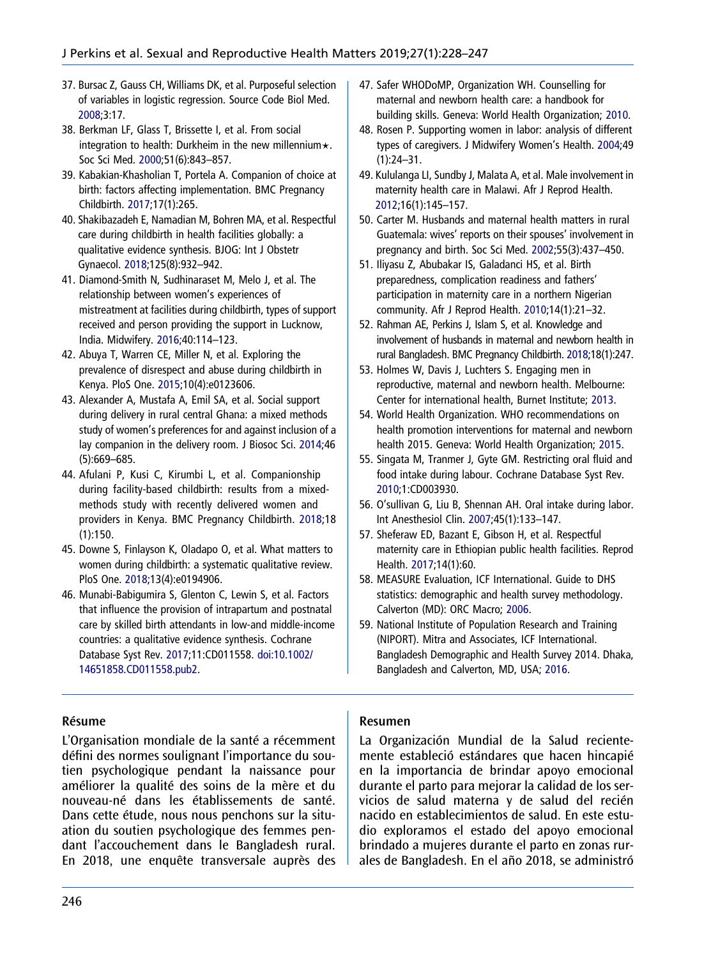- <span id="page-19-0"></span>37. Bursac Z, Gauss CH, Williams DK, et al. Purposeful selection of variables in logistic regression. Source Code Biol Med. [2008;](#page-4-0)3:17.
- 38. Berkman LF, Glass T, Brissette I, et al. From social integration to health: Durkheim in the new millennium $\star$ . Soc Sci Med. [2000](#page-13-0);51(6):843–857.
- 39. Kabakian-Khasholian T, Portela A. Companion of choice at birth: factors affecting implementation. BMC Pregnancy Childbirth. [2017](#page-13-0);17(1):265.
- 40. Shakibazadeh E, Namadian M, Bohren MA, et al. Respectful care during childbirth in health facilities globally: a qualitative evidence synthesis. BJOG: Int J Obstetr Gynaecol. [2018;](#page-13-0)125(8):932–942.
- 41. Diamond-Smith N, Sudhinaraset M, Melo J, et al. The relationship between women's experiences of mistreatment at facilities during childbirth, types of support received and person providing the support in Lucknow, India. Midwifery. [2016;](#page-14-0)40:114–123.
- 42. Abuya T, Warren CE, Miller N, et al. Exploring the prevalence of disrespect and abuse during childbirth in Kenya. PloS One. [2015](#page-14-0);10(4):e0123606.
- 43. Alexander A, Mustafa A, Emil SA, et al. Social support during delivery in rural central Ghana: a mixed methods study of women's preferences for and against inclusion of a lay companion in the delivery room. J Biosoc Sci. [2014;](#page-14-0)46 (5):669–685.
- 44. Afulani P, Kusi C, Kirumbi L, et al. Companionship during facility-based childbirth: results from a mixedmethods study with recently delivered women and providers in Kenya. BMC Pregnancy Childbirth. [2018](#page-14-0);18 (1):150.
- 45. Downe S, Finlayson K, Oladapo O, et al. What matters to women during childbirth: a systematic qualitative review. PloS One. [2018](#page-14-0);13(4):e0194906.
- 46. Munabi-Babigumira S, Glenton C, Lewin S, et al. Factors that influence the provision of intrapartum and postnatal care by skilled birth attendants in low-and middle-income countries: a qualitative evidence synthesis. Cochrane Database Syst Rev. [2017](#page-14-0);11:CD011558. [doi:10.1002/](https://doi.org/10.1002/14651858.CD011558.pub2) [14651858.CD011558.pub2.](https://doi.org/10.1002/14651858.CD011558.pub2)
- 47. Safer WHODoMP, Organization WH. Counselling for maternal and newborn health care: a handbook for building skills. Geneva: World Health Organization; [2010.](#page-14-0)
- 48. Rosen P. Supporting women in labor: analysis of different types of caregivers. J Midwifery Women's Health. [2004;](#page-14-0)49 (1):24–31.
- 49. Kululanga LI, Sundby J, Malata A, et al. Male involvement in maternity health care in Malawi. Afr J Reprod Health. [2012;](#page-15-0)16(1):145–157.
- 50. Carter M. Husbands and maternal health matters in rural Guatemala: wives' reports on their spouses' involvement in pregnancy and birth. Soc Sci Med. 2002;55(3):437–450.
- 51. Iliyasu Z, Abubakar IS, Galadanci HS, et al. Birth preparedness, complication readiness and fathers' participation in maternity care in a northern Nigerian community. Afr J Reprod Health. 2010;14(1):21–32.
- 52. Rahman AE, Perkins J, Islam S, et al. Knowledge and involvement of husbands in maternal and newborn health in rural Bangladesh. BMC Pregnancy Childbirth. [2018](#page-15-0);18(1):247.
- 53. Holmes W, Davis J, Luchters S. Engaging men in reproductive, maternal and newborn health. Melbourne: Center for international health, Burnet Institute; [2013](#page-15-0).
- 54. World Health Organization. WHO recommendations on health promotion interventions for maternal and newborn health 2015. Geneva: World Health Organization; [2015.](#page-15-0)
- 55. Singata M, Tranmer J, Gyte GM. Restricting oral fluid and food intake during labour. Cochrane Database Syst Rev. [2010;](#page-15-0)1:CD003930.
- 56. O'sullivan G, Liu B, Shennan AH. Oral intake during labor. Int Anesthesiol Clin. [2007](#page-15-0);45(1):133–147.
- 57. Sheferaw ED, Bazant E, Gibson H, et al. Respectful maternity care in Ethiopian public health facilities. Reprod Health. [2017](#page-15-0);14(1):60.
- 58. MEASURE Evaluation, ICF International. Guide to DHS statistics: demographic and health survey methodology. Calverton (MD): ORC Macro; [2006.](#page-16-0)
- 59. National Institute of Population Research and Training (NIPORT). Mitra and Associates, ICF International. Bangladesh Demographic and Health Survey 2014. Dhaka, Bangladesh and Calverton, MD, USA; [2016](#page-16-0).

#### Résume

L'Organisation mondiale de la santé a récemment défini des normes soulignant l'importance du soutien psychologique pendant la naissance pour améliorer la qualité des soins de la mère et du nouveau-né dans les établissements de santé. Dans cette étude, nous nous penchons sur la situation du soutien psychologique des femmes pendant l'accouchement dans le Bangladesh rural. En 2018, une enquête transversale auprès des

#### Resumen

La Organización Mundial de la Salud recientemente estableció estándares que hacen hincapié en la importancia de brindar apoyo emocional durante el parto para mejorar la calidad de los servicios de salud materna y de salud del recién nacido en establecimientos de salud. En este estudio exploramos el estado del apoyo emocional brindado a mujeres durante el parto en zonas rurales de Bangladesh. En el año 2018, se administró